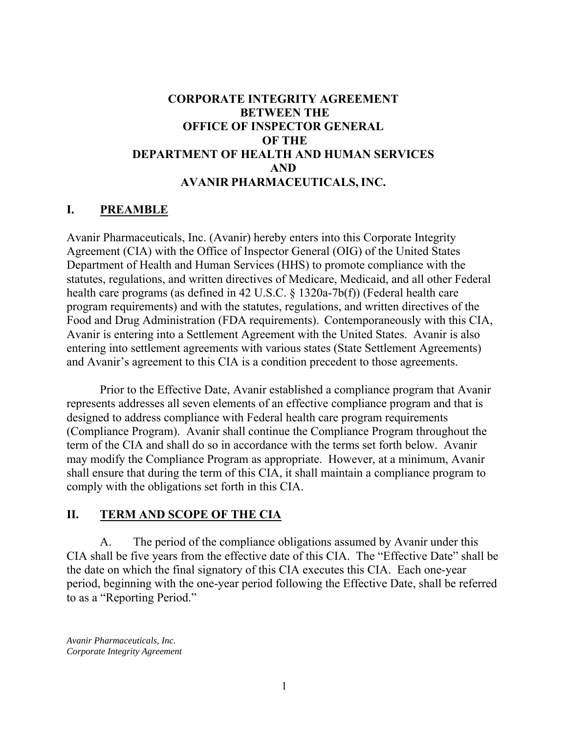### **CORPORATE INTEGRITY AGREEMENT BETWEEN THE OFFICE OF INSPECTOR GENERAL OF THE DEPARTMENT OF HEALTH AND HUMAN SERVICES AND AVANIR PHARMACEUTICALS, INC.**

#### **I. PREAMBLE**

Avanir Pharmaceuticals, Inc. (Avanir) hereby enters into this Corporate Integrity Agreement (CIA) with the Office of Inspector General (OIG) of the United States Department of Health and Human Services (HHS) to promote compliance with the statutes, regulations, and written directives of Medicare, Medicaid, and all other Federal health care programs (as defined in 42 U.S.C. § 1320a-7b(f)) (Federal health care program requirements) and with the statutes, regulations, and written directives of the Food and Drug Administration (FDA requirements). Contemporaneously with this CIA, Avanir is entering into a Settlement Agreement with the United States. Avanir is also entering into settlement agreements with various states (State Settlement Agreements) and Avanir's agreement to this CIA is a condition precedent to those agreements.

Prior to the Effective Date, Avanir established a compliance program that Avanir represents addresses all seven elements of an effective compliance program and that is designed to address compliance with Federal health care program requirements (Compliance Program). Avanir shall continue the Compliance Program throughout the term of the CIA and shall do so in accordance with the terms set forth below. Avanir may modify the Compliance Program as appropriate. However, at a minimum, Avanir shall ensure that during the term of this CIA, it shall maintain a compliance program to comply with the obligations set forth in this CIA.

#### **II. TERM AND SCOPE OF THE CIA**

A. The period of the compliance obligations assumed by Avanir under this CIA shall be five years from the effective date of this CIA. The "Effective Date" shall be the date on which the final signatory of this CIA executes this CIA. Each one-year period, beginning with the one-year period following the Effective Date, shall be referred to as a "Reporting Period."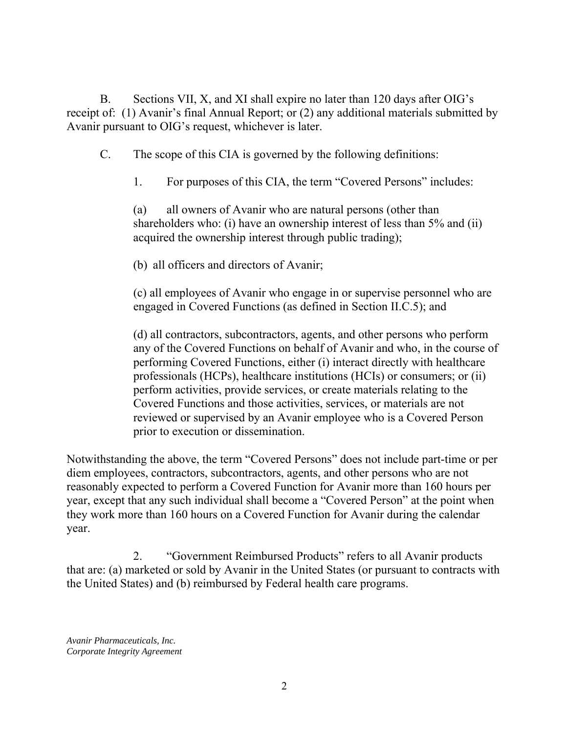B. Sections VII, X, and XI shall expire no later than 120 days after OIG's receipt of: (1) Avanir's final Annual Report; or (2) any additional materials submitted by Avanir pursuant to OIG's request, whichever is later.

C. The scope of this CIA is governed by the following definitions:

1. For purposes of this CIA, the term "Covered Persons" includes:

(a) all owners of Avanir who are natural persons (other than shareholders who: (i) have an ownership interest of less than 5% and (ii) acquired the ownership interest through public trading);

(b) all officers and directors of Avanir;

(c) all employees of Avanir who engage in or supervise personnel who are engaged in Covered Functions (as defined in Section II.C.5); and

 prior to execution or dissemination. (d) all contractors, subcontractors, agents, and other persons who perform any of the Covered Functions on behalf of Avanir and who, in the course of performing Covered Functions, either (i) interact directly with healthcare professionals (HCPs), healthcare institutions (HCIs) or consumers; or (ii) perform activities, provide services, or create materials relating to the Covered Functions and those activities, services, or materials are not reviewed or supervised by an Avanir employee who is a Covered Person

Notwithstanding the above, the term "Covered Persons" does not include part-time or per diem employees, contractors, subcontractors, agents, and other persons who are not reasonably expected to perform a Covered Function for Avanir more than 160 hours per year, except that any such individual shall become a "Covered Person" at the point when they work more than 160 hours on a Covered Function for Avanir during the calendar year.

2. "Government Reimbursed Products" refers to all Avanir products that are: (a) marketed or sold by Avanir in the United States (or pursuant to contracts with the United States) and (b) reimbursed by Federal health care programs.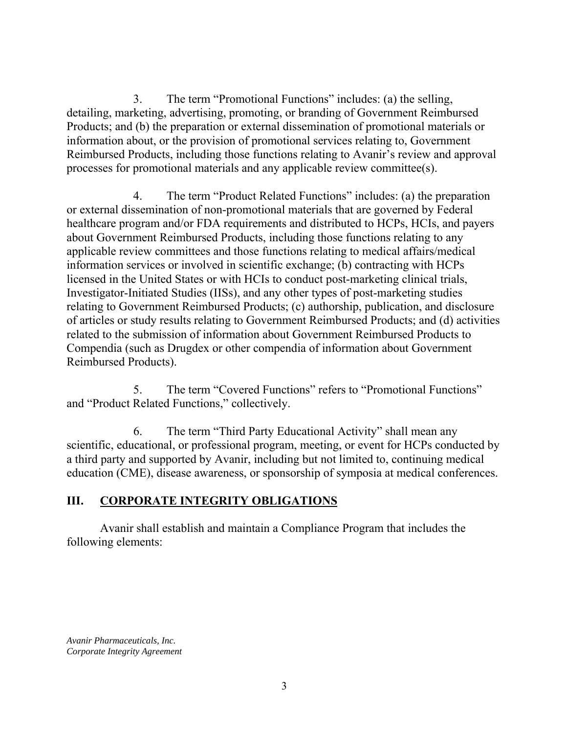3. The term "Promotional Functions" includes: (a) the selling, detailing, marketing, advertising, promoting, or branding of Government Reimbursed Products; and (b) the preparation or external dissemination of promotional materials or information about, or the provision of promotional services relating to, Government Reimbursed Products, including those functions relating to Avanir's review and approval processes for promotional materials and any applicable review committee(s).

4. The term "Product Related Functions" includes: (a) the preparation or external dissemination of non-promotional materials that are governed by Federal healthcare program and/or FDA requirements and distributed to HCPs, HCIs, and payers about Government Reimbursed Products, including those functions relating to any applicable review committees and those functions relating to medical affairs/medical information services or involved in scientific exchange; (b) contracting with HCPs licensed in the United States or with HCIs to conduct post-marketing clinical trials, Investigator-Initiated Studies (IISs), and any other types of post-marketing studies relating to Government Reimbursed Products; (c) authorship, publication, and disclosure of articles or study results relating to Government Reimbursed Products; and (d) activities related to the submission of information about Government Reimbursed Products to Compendia (such as Drugdex or other compendia of information about Government Reimbursed Products).

5. The term "Covered Functions" refers to "Promotional Functions" and "Product Related Functions," collectively.

6. The term "Third Party Educational Activity" shall mean any scientific, educational, or professional program, meeting, or event for HCPs conducted by a third party and supported by Avanir, including but not limited to, continuing medical education (CME), disease awareness, or sponsorship of symposia at medical conferences.

## **III. CORPORATE INTEGRITY OBLIGATIONS**

Avanir shall establish and maintain a Compliance Program that includes the following elements: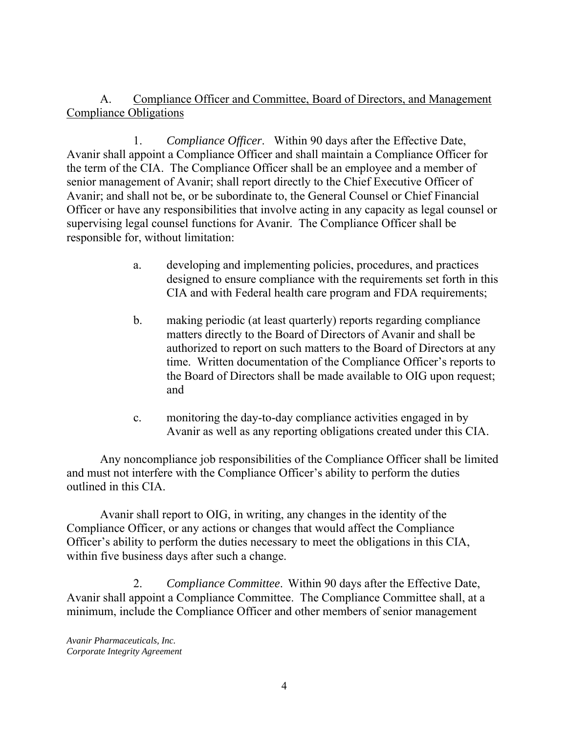A. Compliance Officer and Committee, Board of Directors, and Management Compliance Obligations

1. *Compliance Officer*. Within 90 days after the Effective Date, Avanir shall appoint a Compliance Officer and shall maintain a Compliance Officer for the term of the CIA. The Compliance Officer shall be an employee and a member of senior management of Avanir; shall report directly to the Chief Executive Officer of Avanir; and shall not be, or be subordinate to, the General Counsel or Chief Financial Officer or have any responsibilities that involve acting in any capacity as legal counsel or supervising legal counsel functions for Avanir. The Compliance Officer shall be responsible for, without limitation:

- a. developing and implementing policies, procedures, and practices designed to ensure compliance with the requirements set forth in this CIA and with Federal health care program and FDA requirements;
- b. making periodic (at least quarterly) reports regarding compliance matters directly to the Board of Directors of Avanir and shall be authorized to report on such matters to the Board of Directors at any time. Written documentation of the Compliance Officer's reports to the Board of Directors shall be made available to OIG upon request; and
- c. monitoring the day-to-day compliance activities engaged in by Avanir as well as any reporting obligations created under this CIA.

Any noncompliance job responsibilities of the Compliance Officer shall be limited and must not interfere with the Compliance Officer's ability to perform the duties outlined in this CIA.

Avanir shall report to OIG, in writing, any changes in the identity of the Compliance Officer, or any actions or changes that would affect the Compliance Officer's ability to perform the duties necessary to meet the obligations in this CIA, within five business days after such a change.

2. *Compliance Committee*. Within 90 days after the Effective Date, Avanir shall appoint a Compliance Committee. The Compliance Committee shall, at a minimum, include the Compliance Officer and other members of senior management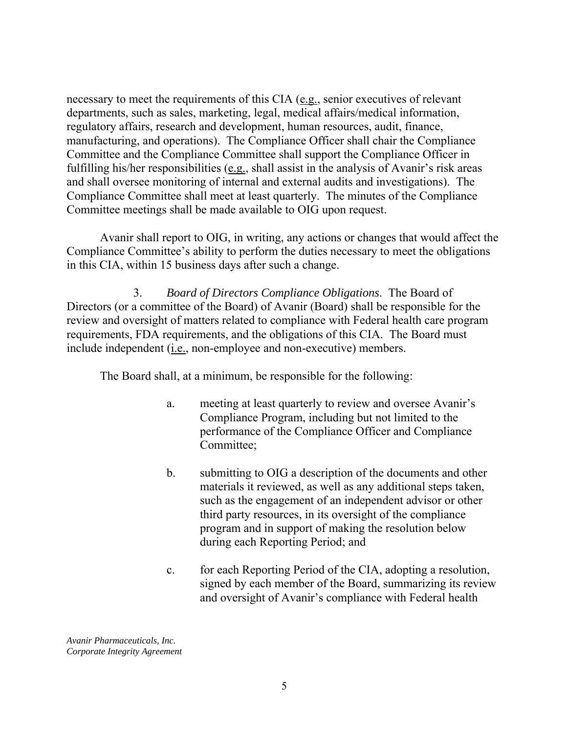Committee meetings shall be made available to OIG upon request. necessary to meet the requirements of this CIA (e.g., senior executives of relevant departments, such as sales, marketing, legal, medical affairs/medical information, regulatory affairs, research and development, human resources, audit, finance, manufacturing, and operations). The Compliance Officer shall chair the Compliance Committee and the Compliance Committee shall support the Compliance Officer in fulfilling his/her responsibilities (e.g., shall assist in the analysis of Avanir's risk areas and shall oversee monitoring of internal and external audits and investigations). The Compliance Committee shall meet at least quarterly. The minutes of the Compliance

Avanir shall report to OIG, in writing, any actions or changes that would affect the Compliance Committee's ability to perform the duties necessary to meet the obligations in this CIA, within 15 business days after such a change.

 3. *Board of Directors Compliance Obligations*. The Board of Directors (or a committee of the Board) of Avanir (Board) shall be responsible for the review and oversight of matters related to compliance with Federal health care program requirements, FDA requirements, and the obligations of this CIA. The Board must include independent (i.e., non-employee and non-executive) members.

The Board shall, at a minimum, be responsible for the following:

- a. meeting at least quarterly to review and oversee Avanir's Compliance Program, including but not limited to the performance of the Compliance Officer and Compliance Committee;
- b. submitting to OIG a description of the documents and other materials it reviewed, as well as any additional steps taken, such as the engagement of an independent advisor or other third party resources, in its oversight of the compliance program and in support of making the resolution below during each Reporting Period; and
- c. for each Reporting Period of the CIA, adopting a resolution, signed by each member of the Board, summarizing its review and oversight of Avanir's compliance with Federal health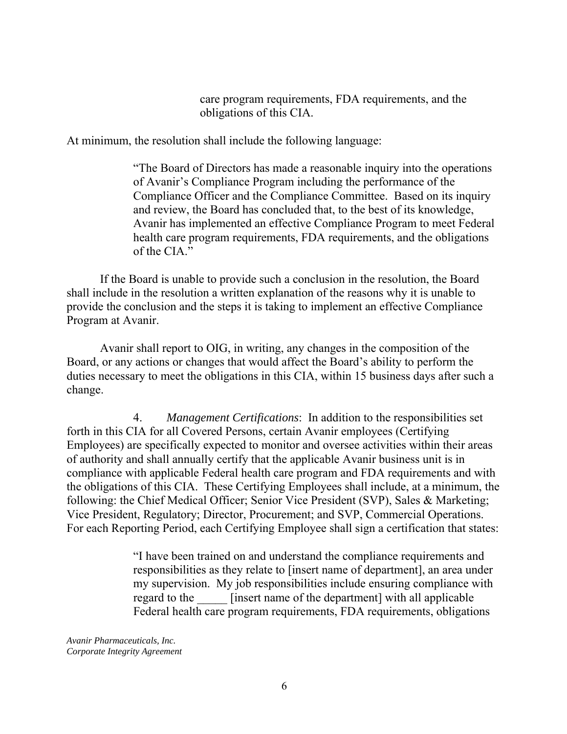care program requirements, FDA requirements, and the obligations of this CIA.

At minimum, the resolution shall include the following language:

"The Board of Directors has made a reasonable inquiry into the operations of Avanir's Compliance Program including the performance of the Compliance Officer and the Compliance Committee. Based on its inquiry and review, the Board has concluded that, to the best of its knowledge, Avanir has implemented an effective Compliance Program to meet Federal health care program requirements, FDA requirements, and the obligations of the CIA."

If the Board is unable to provide such a conclusion in the resolution, the Board shall include in the resolution a written explanation of the reasons why it is unable to provide the conclusion and the steps it is taking to implement an effective Compliance Program at Avanir.

Avanir shall report to OIG, in writing, any changes in the composition of the Board, or any actions or changes that would affect the Board's ability to perform the duties necessary to meet the obligations in this CIA, within 15 business days after such a change.

4. *Management Certifications*: In addition to the responsibilities set forth in this CIA for all Covered Persons, certain Avanir employees (Certifying Employees) are specifically expected to monitor and oversee activities within their areas of authority and shall annually certify that the applicable Avanir business unit is in compliance with applicable Federal health care program and FDA requirements and with the obligations of this CIA. These Certifying Employees shall include, at a minimum, the following: the Chief Medical Officer; Senior Vice President (SVP), Sales & Marketing; Vice President, Regulatory; Director, Procurement; and SVP, Commercial Operations. For each Reporting Period, each Certifying Employee shall sign a certification that states:

> "I have been trained on and understand the compliance requirements and responsibilities as they relate to [insert name of department], an area under my supervision. My job responsibilities include ensuring compliance with regard to the **lack** [insert name of the department] with all applicable Federal health care program requirements, FDA requirements, obligations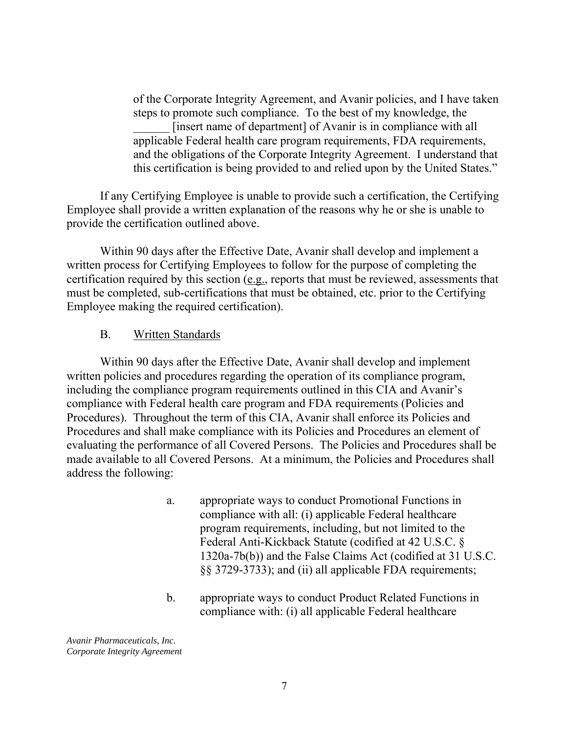of the Corporate Integrity Agreement, and Avanir policies, and I have taken steps to promote such compliance. To the best of my knowledge, the [insert name of department] of Avanir is in compliance with all applicable Federal health care program requirements, FDA requirements, and the obligations of the Corporate Integrity Agreement. I understand that this certification is being provided to and relied upon by the United States."

If any Certifying Employee is unable to provide such a certification, the Certifying Employee shall provide a written explanation of the reasons why he or she is unable to provide the certification outlined above.

 Within 90 days after the Effective Date, Avanir shall develop and implement a written process for Certifying Employees to follow for the purpose of completing the certification required by this section (e.g., reports that must be reviewed, assessments that must be completed, sub-certifications that must be obtained, etc. prior to the Certifying Employee making the required certification).

#### B. Written Standards

Within 90 days after the Effective Date, Avanir shall develop and implement written policies and procedures regarding the operation of its compliance program, including the compliance program requirements outlined in this CIA and Avanir's compliance with Federal health care program and FDA requirements (Policies and Procedures). Throughout the term of this CIA, Avanir shall enforce its Policies and Procedures and shall make compliance with its Policies and Procedures an element of evaluating the performance of all Covered Persons. The Policies and Procedures shall be made available to all Covered Persons. At a minimum, the Policies and Procedures shall address the following:

- a. appropriate ways to conduct Promotional Functions in compliance with all: (i) applicable Federal healthcare program requirements, including, but not limited to the Federal Anti-Kickback Statute (codified at 42 U.S.C. § 1320a-7b(b)) and the False Claims Act (codified at 31 U.S.C. §§ 3729-3733); and (ii) all applicable FDA requirements;
- b. appropriate ways to conduct Product Related Functions in compliance with: (i) all applicable Federal healthcare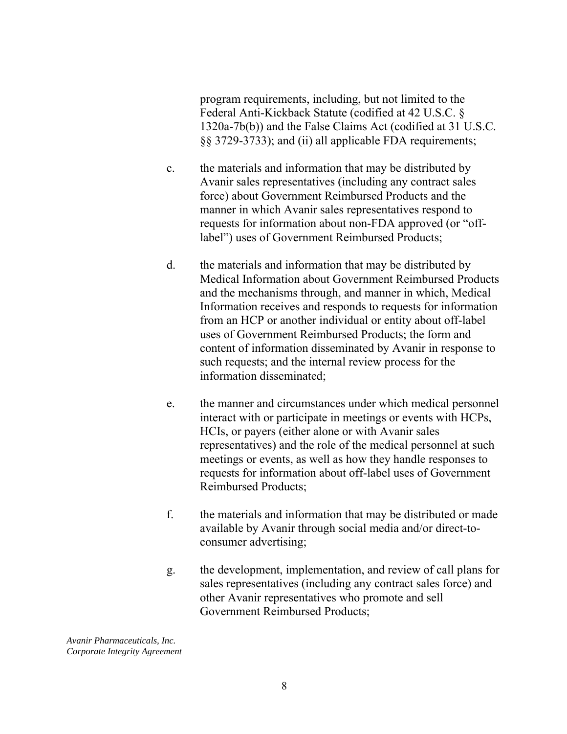program requirements, including, but not limited to the Federal Anti-Kickback Statute (codified at 42 U.S.C. § 1320a-7b(b)) and the False Claims Act (codified at 31 U.S.C. §§ 3729-3733); and (ii) all applicable FDA requirements;

- c. the materials and information that may be distributed by Avanir sales representatives (including any contract sales force) about Government Reimbursed Products and the manner in which Avanir sales representatives respond to requests for information about non-FDA approved (or "offlabel") uses of Government Reimbursed Products;
- d. the materials and information that may be distributed by Medical Information about Government Reimbursed Products and the mechanisms through, and manner in which, Medical Information receives and responds to requests for information from an HCP or another individual or entity about off-label uses of Government Reimbursed Products; the form and content of information disseminated by Avanir in response to such requests; and the internal review process for the information disseminated;
- e. the manner and circumstances under which medical personnel interact with or participate in meetings or events with HCPs, HCIs, or payers (either alone or with Avanir sales representatives) and the role of the medical personnel at such meetings or events, as well as how they handle responses to requests for information about off-label uses of Government Reimbursed Products;
- f. the materials and information that may be distributed or made available by Avanir through social media and/or direct-toconsumer advertising;
- g. the development, implementation, and review of call plans for sales representatives (including any contract sales force) and other Avanir representatives who promote and sell Government Reimbursed Products;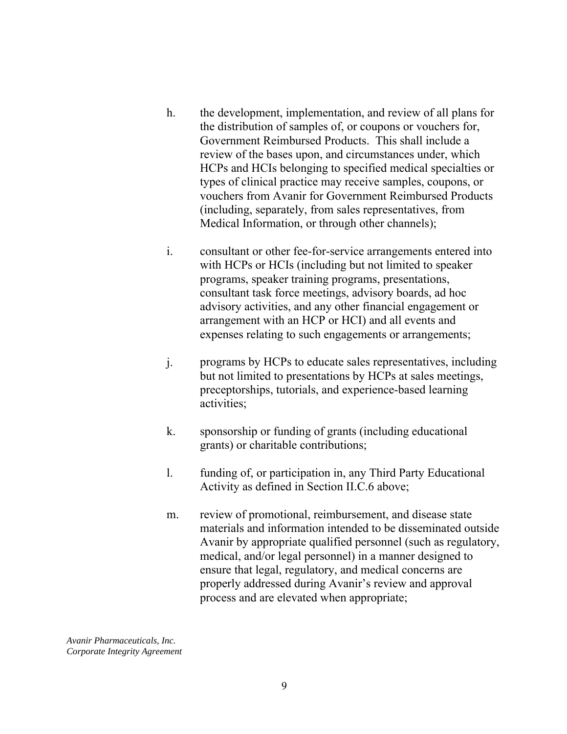- h. the development, implementation, and review of all plans for the distribution of samples of, or coupons or vouchers for, Government Reimbursed Products. This shall include a review of the bases upon, and circumstances under, which HCPs and HCIs belonging to specified medical specialties or types of clinical practice may receive samples, coupons, or vouchers from Avanir for Government Reimbursed Products (including, separately, from sales representatives, from Medical Information, or through other channels);
- i. consultant or other fee-for-service arrangements entered into with HCPs or HCIs (including but not limited to speaker programs, speaker training programs, presentations, consultant task force meetings, advisory boards, ad hoc advisory activities, and any other financial engagement or arrangement with an HCP or HCI) and all events and expenses relating to such engagements or arrangements;
- j. programs by HCPs to educate sales representatives, including but not limited to presentations by HCPs at sales meetings, preceptorships, tutorials, and experience-based learning activities;
- grants) or charitable contributions; k. sponsorship or funding of grants (including educational
- l. funding of, or participation in, any Third Party Educational Activity as defined in Section II.C.6 above;
- m. review of promotional, reimbursement, and disease state materials and information intended to be disseminated outside Avanir by appropriate qualified personnel (such as regulatory, medical, and/or legal personnel) in a manner designed to ensure that legal, regulatory, and medical concerns are properly addressed during Avanir's review and approval process and are elevated when appropriate;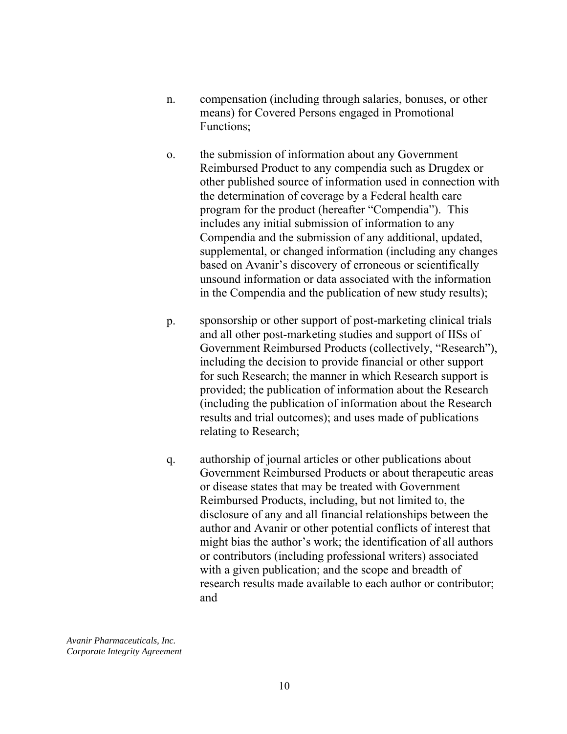- n. compensation (including through salaries, bonuses, or other means) for Covered Persons engaged in Promotional Functions;
- o. the submission of information about any Government Reimbursed Product to any compendia such as Drugdex or other published source of information used in connection with the determination of coverage by a Federal health care program for the product (hereafter "Compendia"). This includes any initial submission of information to any Compendia and the submission of any additional, updated, supplemental, or changed information (including any changes based on Avanir's discovery of erroneous or scientifically unsound information or data associated with the information in the Compendia and the publication of new study results);
- p. sponsorship or other support of post-marketing clinical trials and all other post-marketing studies and support of IISs of Government Reimbursed Products (collectively, "Research"), including the decision to provide financial or other support for such Research; the manner in which Research support is provided; the publication of information about the Research (including the publication of information about the Research results and trial outcomes); and uses made of publications relating to Research;
- q. authorship of journal articles or other publications about Government Reimbursed Products or about therapeutic areas or disease states that may be treated with Government Reimbursed Products, including, but not limited to, the disclosure of any and all financial relationships between the author and Avanir or other potential conflicts of interest that might bias the author's work; the identification of all authors or contributors (including professional writers) associated with a given publication; and the scope and breadth of research results made available to each author or contributor; and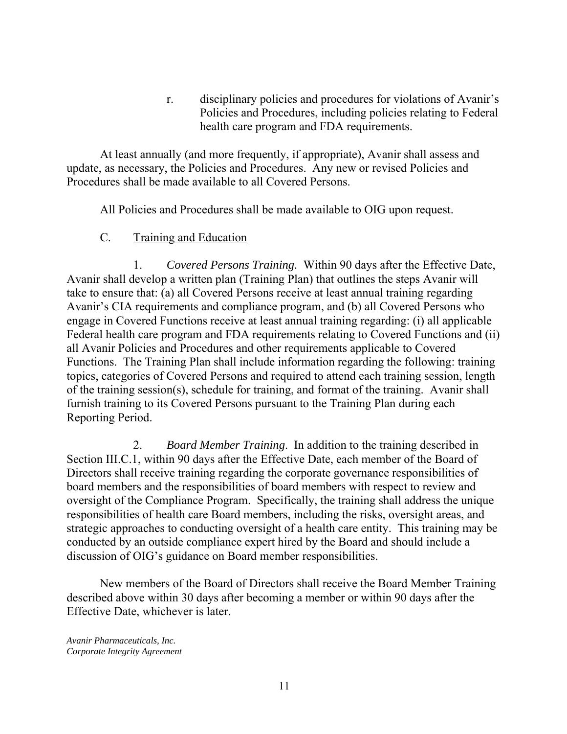r. disciplinary policies and procedures for violations of Avanir's Policies and Procedures, including policies relating to Federal health care program and FDA requirements.

At least annually (and more frequently, if appropriate), Avanir shall assess and update, as necessary, the Policies and Procedures. Any new or revised Policies and Procedures shall be made available to all Covered Persons.

All Policies and Procedures shall be made available to OIG upon request.

#### C. Training and Education

1. *Covered Persons Training.* Within 90 days after the Effective Date, Avanir shall develop a written plan (Training Plan) that outlines the steps Avanir will take to ensure that: (a) all Covered Persons receive at least annual training regarding Avanir's CIA requirements and compliance program, and (b) all Covered Persons who engage in Covered Functions receive at least annual training regarding: (i) all applicable Federal health care program and FDA requirements relating to Covered Functions and (ii) all Avanir Policies and Procedures and other requirements applicable to Covered Functions. The Training Plan shall include information regarding the following: training topics, categories of Covered Persons and required to attend each training session, length of the training session(s), schedule for training, and format of the training. Avanir shall furnish training to its Covered Persons pursuant to the Training Plan during each Reporting Period.

2. *Board Member Training*. In addition to the training described in Section III.C.1, within 90 days after the Effective Date, each member of the Board of Directors shall receive training regarding the corporate governance responsibilities of board members and the responsibilities of board members with respect to review and oversight of the Compliance Program. Specifically, the training shall address the unique responsibilities of health care Board members, including the risks, oversight areas, and strategic approaches to conducting oversight of a health care entity. This training may be conducted by an outside compliance expert hired by the Board and should include a discussion of OIG's guidance on Board member responsibilities.

New members of the Board of Directors shall receive the Board Member Training described above within 30 days after becoming a member or within 90 days after the Effective Date, whichever is later.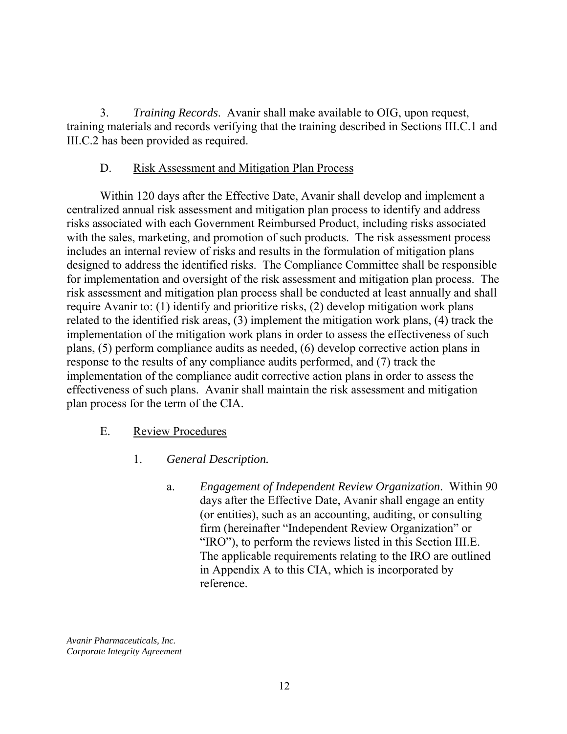3. *Training Records*. Avanir shall make available to OIG, upon request, training materials and records verifying that the training described in Sections III.C.1 and III.C.2 has been provided as required.

### D. Risk Assessment and Mitigation Plan Process

Within 120 days after the Effective Date, Avanir shall develop and implement a centralized annual risk assessment and mitigation plan process to identify and address risks associated with each Government Reimbursed Product, including risks associated with the sales, marketing, and promotion of such products. The risk assessment process includes an internal review of risks and results in the formulation of mitigation plans designed to address the identified risks. The Compliance Committee shall be responsible for implementation and oversight of the risk assessment and mitigation plan process. The risk assessment and mitigation plan process shall be conducted at least annually and shall require Avanir to: (1) identify and prioritize risks, (2) develop mitigation work plans related to the identified risk areas, (3) implement the mitigation work plans, (4) track the implementation of the mitigation work plans in order to assess the effectiveness of such plans, (5) perform compliance audits as needed, (6) develop corrective action plans in response to the results of any compliance audits performed, and (7) track the implementation of the compliance audit corrective action plans in order to assess the effectiveness of such plans. Avanir shall maintain the risk assessment and mitigation plan process for the term of the CIA.

### E. Review Procedures

- 1. *General Description.* 
	- a. *Engagement of Independent Review Organization*. Within 90 days after the Effective Date, Avanir shall engage an entity (or entities), such as an accounting, auditing, or consulting firm (hereinafter "Independent Review Organization" or "IRO"), to perform the reviews listed in this Section III.E. The applicable requirements relating to the IRO are outlined in Appendix A to this CIA, which is incorporated by reference.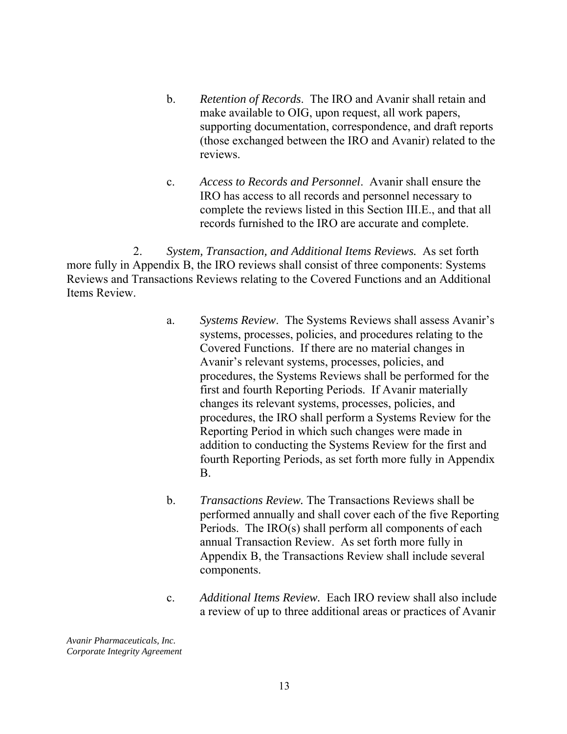- b. *Retention of Records*. The IRO and Avanir shall retain and make available to OIG, upon request, all work papers, supporting documentation, correspondence, and draft reports (those exchanged between the IRO and Avanir) related to the reviews.
- c. *Access to Records and Personnel*. Avanir shall ensure the IRO has access to all records and personnel necessary to complete the reviews listed in this Section III.E., and that all records furnished to the IRO are accurate and complete.

2. *System, Transaction, and Additional Items Reviews.* As set forth more fully in Appendix B, the IRO reviews shall consist of three components: Systems Reviews and Transactions Reviews relating to the Covered Functions and an Additional Items Review.

- a. *Systems Review*. The Systems Reviews shall assess Avanir's systems, processes, policies, and procedures relating to the Covered Functions. If there are no material changes in Avanir's relevant systems, processes, policies, and procedures, the Systems Reviews shall be performed for the first and fourth Reporting Periods. If Avanir materially changes its relevant systems, processes, policies, and procedures, the IRO shall perform a Systems Review for the Reporting Period in which such changes were made in addition to conducting the Systems Review for the first and fourth Reporting Periods, as set forth more fully in Appendix B.
- b. *Transactions Review.* The Transactions Reviews shall be performed annually and shall cover each of the five Reporting Periods. The IRO(s) shall perform all components of each annual Transaction Review. As set forth more fully in Appendix B, the Transactions Review shall include several components.
- c. *Additional Items Review.* Each IRO review shall also include a review of up to three additional areas or practices of Avanir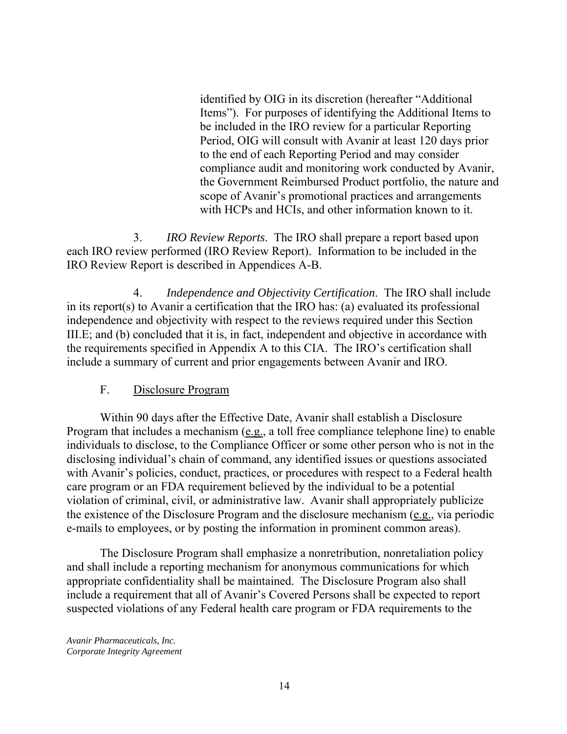identified by OIG in its discretion (hereafter "Additional Items"). For purposes of identifying the Additional Items to be included in the IRO review for a particular Reporting Period, OIG will consult with Avanir at least 120 days prior to the end of each Reporting Period and may consider compliance audit and monitoring work conducted by Avanir, the Government Reimbursed Product portfolio, the nature and scope of Avanir's promotional practices and arrangements with HCPs and HCIs, and other information known to it.

 $\mathbf{3}$ . 3. *IRO Review Reports*. The IRO shall prepare a report based upon each IRO review performed (IRO Review Report). Information to be included in the IRO Review Report is described in Appendices A-B.

4. *Independence and Objectivity Certification*. The IRO shall include in its report(s) to Avanir a certification that the IRO has: (a) evaluated its professional independence and objectivity with respect to the reviews required under this Section III.E; and (b) concluded that it is, in fact, independent and objective in accordance with the requirements specified in Appendix A to this CIA. The IRO's certification shall include a summary of current and prior engagements between Avanir and IRO.

### F. Disclosure Program

Within 90 days after the Effective Date, Avanir shall establish a Disclosure Program that includes a mechanism (e.g., a toll free compliance telephone line) to enable individuals to disclose, to the Compliance Officer or some other person who is not in the disclosing individual's chain of command, any identified issues or questions associated with Avanir's policies, conduct, practices, or procedures with respect to a Federal health care program or an FDA requirement believed by the individual to be a potential violation of criminal, civil, or administrative law. Avanir shall appropriately publicize the existence of the Disclosure Program and the disclosure mechanism (e.g., via periodic e-mails to employees, or by posting the information in prominent common areas).

The Disclosure Program shall emphasize a nonretribution, nonretaliation policy and shall include a reporting mechanism for anonymous communications for which appropriate confidentiality shall be maintained. The Disclosure Program also shall include a requirement that all of Avanir's Covered Persons shall be expected to report suspected violations of any Federal health care program or FDA requirements to the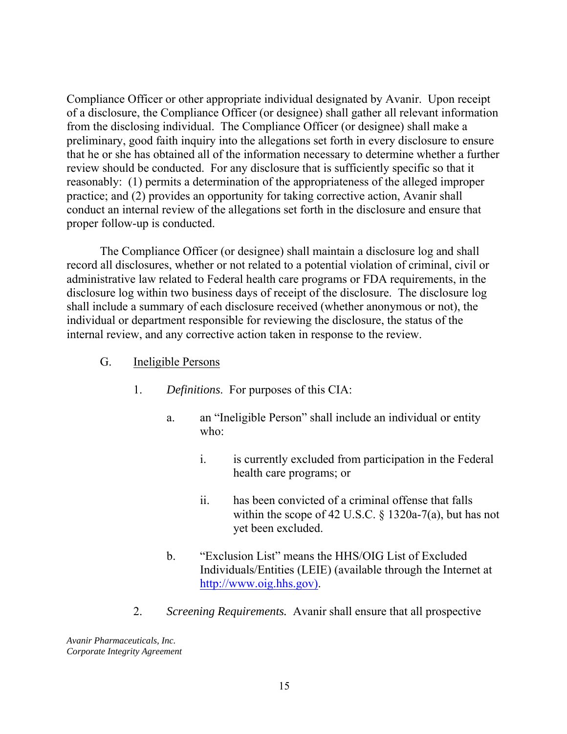Compliance Officer or other appropriate individual designated by Avanir. Upon receipt of a disclosure, the Compliance Officer (or designee) shall gather all relevant information from the disclosing individual. The Compliance Officer (or designee) shall make a preliminary, good faith inquiry into the allegations set forth in every disclosure to ensure that he or she has obtained all of the information necessary to determine whether a further review should be conducted. For any disclosure that is sufficiently specific so that it reasonably: (1) permits a determination of the appropriateness of the alleged improper practice; and (2) provides an opportunity for taking corrective action, Avanir shall conduct an internal review of the allegations set forth in the disclosure and ensure that proper follow-up is conducted.

The Compliance Officer (or designee) shall maintain a disclosure log and shall record all disclosures, whether or not related to a potential violation of criminal, civil or administrative law related to Federal health care programs or FDA requirements, in the disclosure log within two business days of receipt of the disclosure. The disclosure log shall include a summary of each disclosure received (whether anonymous or not), the individual or department responsible for reviewing the disclosure, the status of the internal review, and any corrective action taken in response to the review.

- G. Ineligible Persons
	- 1. *Definitions*. For purposes of this CIA:
		- a. an "Ineligible Person" shall include an individual or entity who:
			- i. is currently excluded from participation in the Federal health care programs; or
			- ii. has been convicted of a criminal offense that falls within the scope of 42 U.S.C. § 1320a-7(a), but has not yet been excluded.
		- b. "Exclusion List" means the HHS/OIG List of Excluded Individuals/Entities (LEIE) (available through the Internet at http://www.oig.hhs.gov).
	- 2. *Screening Requirements.* Avanir shall ensure that all prospective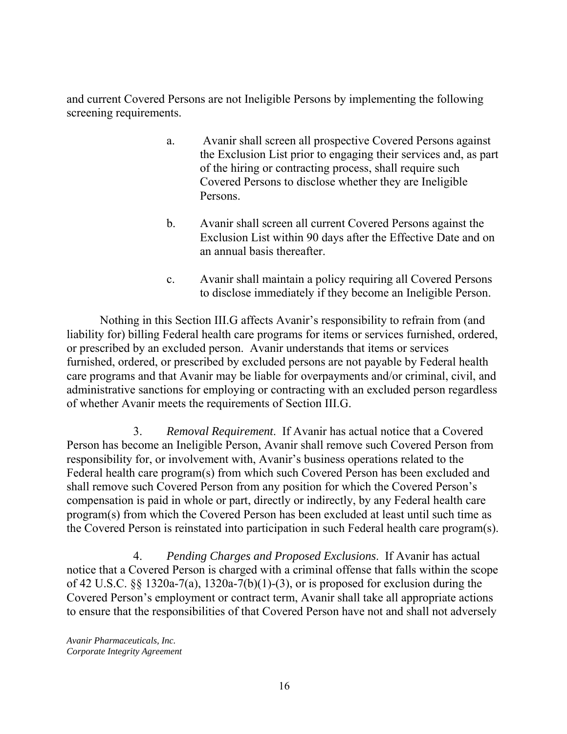and current Covered Persons are not Ineligible Persons by implementing the following screening requirements.

- a. Avanir shall screen all prospective Covered Persons against the Exclusion List prior to engaging their services and, as part of the hiring or contracting process, shall require such Covered Persons to disclose whether they are Ineligible Persons.
- b. Avanir shall screen all current Covered Persons against the Exclusion List within 90 days after the Effective Date and on an annual basis thereafter.
- c. Avanir shall maintain a policy requiring all Covered Persons to disclose immediately if they become an Ineligible Person.

Nothing in this Section III.G affects Avanir's responsibility to refrain from (and liability for) billing Federal health care programs for items or services furnished, ordered, or prescribed by an excluded person. Avanir understands that items or services furnished, ordered, or prescribed by excluded persons are not payable by Federal health care programs and that Avanir may be liable for overpayments and/or criminal, civil, and administrative sanctions for employing or contracting with an excluded person regardless of whether Avanir meets the requirements of Section III.G.

3. *Removal Requirement*. If Avanir has actual notice that a Covered Person has become an Ineligible Person, Avanir shall remove such Covered Person from responsibility for, or involvement with, Avanir's business operations related to the Federal health care program(s) from which such Covered Person has been excluded and shall remove such Covered Person from any position for which the Covered Person's compensation is paid in whole or part, directly or indirectly, by any Federal health care program(s) from which the Covered Person has been excluded at least until such time as the Covered Person is reinstated into participation in such Federal health care program(s).

4. *Pending Charges and Proposed Exclusions*. If Avanir has actual notice that a Covered Person is charged with a criminal offense that falls within the scope of 42 U.S.C.  $\S$ § 1320a-7(a), 1320a-7(b)(1)-(3), or is proposed for exclusion during the Covered Person's employment or contract term, Avanir shall take all appropriate actions to ensure that the responsibilities of that Covered Person have not and shall not adversely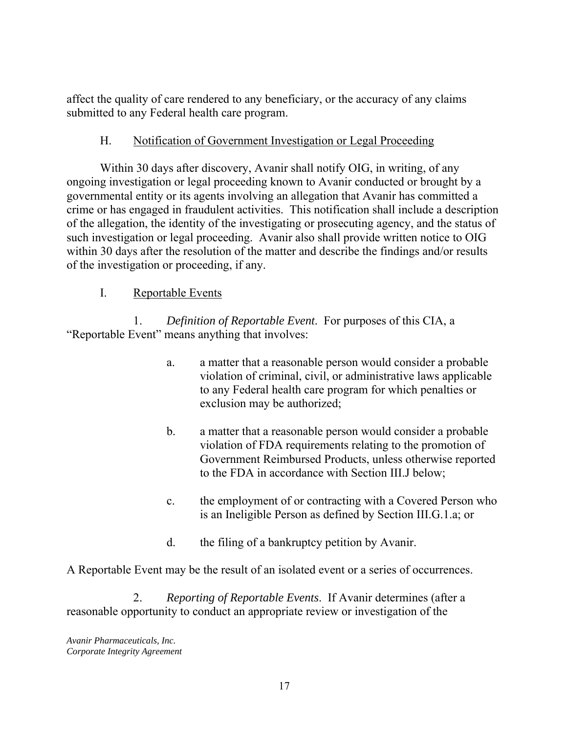affect the quality of care rendered to any beneficiary, or the accuracy of any claims submitted to any Federal health care program.

### H. Notification of Government Investigation or Legal Proceeding

Within 30 days after discovery, Avanir shall notify OIG, in writing, of any ongoing investigation or legal proceeding known to Avanir conducted or brought by a governmental entity or its agents involving an allegation that Avanir has committed a crime or has engaged in fraudulent activities. This notification shall include a description of the allegation, the identity of the investigating or prosecuting agency, and the status of such investigation or legal proceeding. Avanir also shall provide written notice to OIG within 30 days after the resolution of the matter and describe the findings and/or results of the investigation or proceeding, if any.

## I. Reportable Events

 1. *Definition of Reportable Event*. For purposes of this CIA, a "Reportable Event" means anything that involves:

- a. a matter that a reasonable person would consider a probable violation of criminal, civil, or administrative laws applicable to any Federal health care program for which penalties or exclusion may be authorized;
- b. a matter that a reasonable person would consider a probable violation of FDA requirements relating to the promotion of Government Reimbursed Products, unless otherwise reported to the FDA in accordance with Section III.J below;
- c. the employment of or contracting with a Covered Person who is an Ineligible Person as defined by Section III.G.1.a; or
- d. the filing of a bankruptcy petition by Avanir.

A Reportable Event may be the result of an isolated event or a series of occurrences.

2. *Reporting of Reportable Events*. If Avanir determines (after a reasonable opportunity to conduct an appropriate review or investigation of the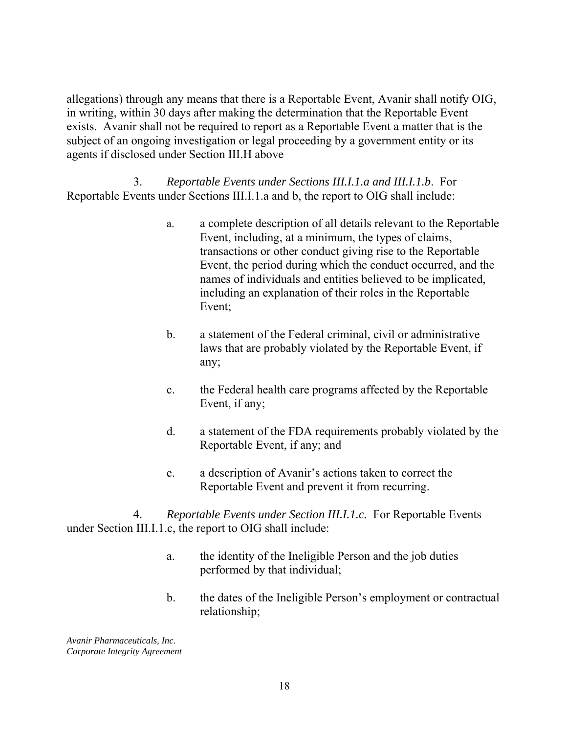allegations) through any means that there is a Reportable Event, Avanir shall notify OIG, in writing, within 30 days after making the determination that the Reportable Event exists. Avanir shall not be required to report as a Reportable Event a matter that is the subject of an ongoing investigation or legal proceeding by a government entity or its agents if disclosed under Section III.H above

3. *Reportable Events under Sections III.I.1.a and III.I.1.b*. For Reportable Events under Sections III.I.1.a and b, the report to OIG shall include:

- a. a complete description of all details relevant to the Reportable Event, including, at a minimum, the types of claims, transactions or other conduct giving rise to the Reportable Event, the period during which the conduct occurred, and the names of individuals and entities believed to be implicated, including an explanation of their roles in the Reportable Event;
- b. a statement of the Federal criminal, civil or administrative laws that are probably violated by the Reportable Event, if any;
- c. the Federal health care programs affected by the Reportable Event, if any;
- d. a statement of the FDA requirements probably violated by the Reportable Event, if any; and
- e. a description of Avanir's actions taken to correct the Reportable Event and prevent it from recurring.

4. *Reportable Events under Section III.I.1.c.* For Reportable Events under Section III.I.1.c, the report to OIG shall include:

- a. the identity of the Ineligible Person and the job duties performed by that individual;
- b. the dates of the Ineligible Person's employment or contractual relationship;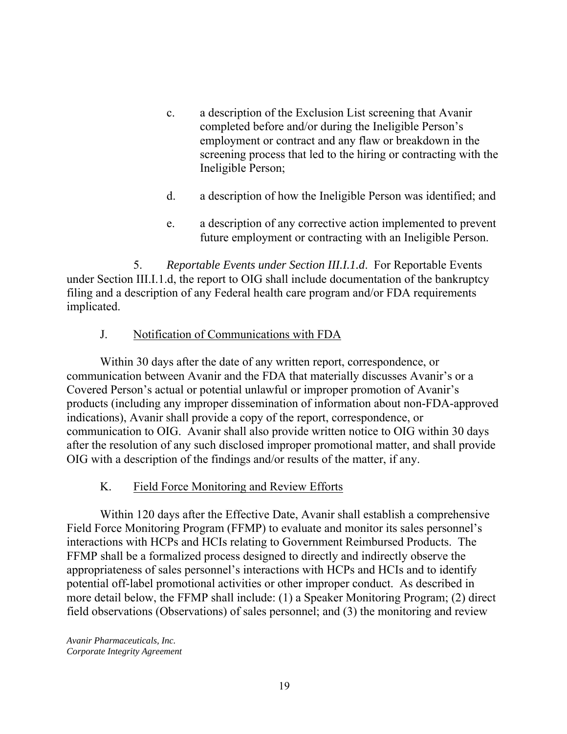- c. a description of the Exclusion List screening that Avanir completed before and/or during the Ineligible Person's employment or contract and any flaw or breakdown in the screening process that led to the hiring or contracting with the Ineligible Person;
- d. a description of how the Ineligible Person was identified; and
- e. a description of any corrective action implemented to prevent future employment or contracting with an Ineligible Person.

5. *Reportable Events under Section III.I.1.d*. For Reportable Events under Section III.I.1.d, the report to OIG shall include documentation of the bankruptcy filing and a description of any Federal health care program and/or FDA requirements implicated.

#### J. Notification of Communications with FDA

Within 30 days after the date of any written report, correspondence, or communication between Avanir and the FDA that materially discusses Avanir's or a Covered Person's actual or potential unlawful or improper promotion of Avanir's products (including any improper dissemination of information about non-FDA-approved indications), Avanir shall provide a copy of the report, correspondence, or communication to OIG. Avanir shall also provide written notice to OIG within 30 days after the resolution of any such disclosed improper promotional matter, and shall provide OIG with a description of the findings and/or results of the matter, if any.

#### K. Field Force Monitoring and Review Efforts

Within 120 days after the Effective Date, Avanir shall establish a comprehensive Field Force Monitoring Program (FFMP) to evaluate and monitor its sales personnel's interactions with HCPs and HCIs relating to Government Reimbursed Products. The FFMP shall be a formalized process designed to directly and indirectly observe the appropriateness of sales personnel's interactions with HCPs and HCIs and to identify potential off-label promotional activities or other improper conduct. As described in more detail below, the FFMP shall include: (1) a Speaker Monitoring Program; (2) direct field observations (Observations) of sales personnel; and (3) the monitoring and review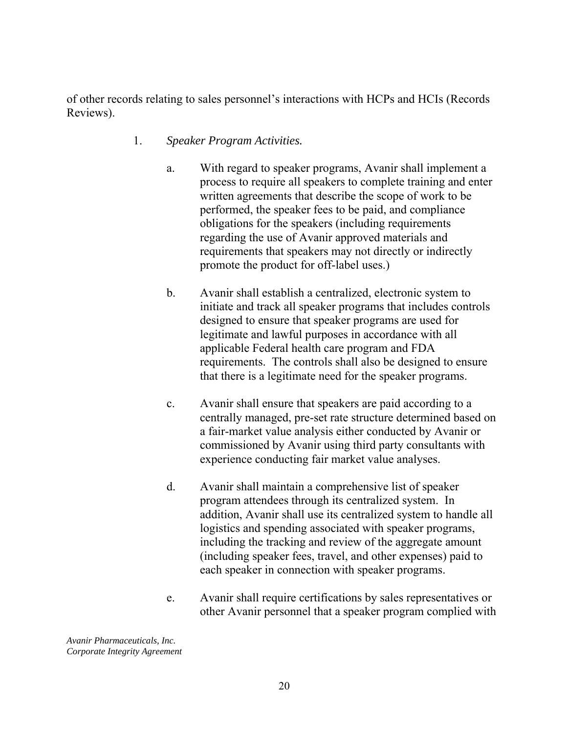of other records relating to sales personnel's interactions with HCPs and HCIs (Records Reviews).

- 1. *Speaker Program Activities.* 
	- a. With regard to speaker programs, Avanir shall implement a process to require all speakers to complete training and enter written agreements that describe the scope of work to be performed, the speaker fees to be paid, and compliance obligations for the speakers (including requirements regarding the use of Avanir approved materials and requirements that speakers may not directly or indirectly promote the product for off-label uses.)
	- b. Avanir shall establish a centralized, electronic system to initiate and track all speaker programs that includes controls designed to ensure that speaker programs are used for legitimate and lawful purposes in accordance with all applicable Federal health care program and FDA requirements. The controls shall also be designed to ensure that there is a legitimate need for the speaker programs.
	- c. Avanir shall ensure that speakers are paid according to a centrally managed, pre-set rate structure determined based on a fair-market value analysis either conducted by Avanir or commissioned by Avanir using third party consultants with experience conducting fair market value analyses.
	- d. Avanir shall maintain a comprehensive list of speaker program attendees through its centralized system. In addition, Avanir shall use its centralized system to handle all logistics and spending associated with speaker programs, including the tracking and review of the aggregate amount (including speaker fees, travel, and other expenses) paid to each speaker in connection with speaker programs.
	- e. Avanir shall require certifications by sales representatives or other Avanir personnel that a speaker program complied with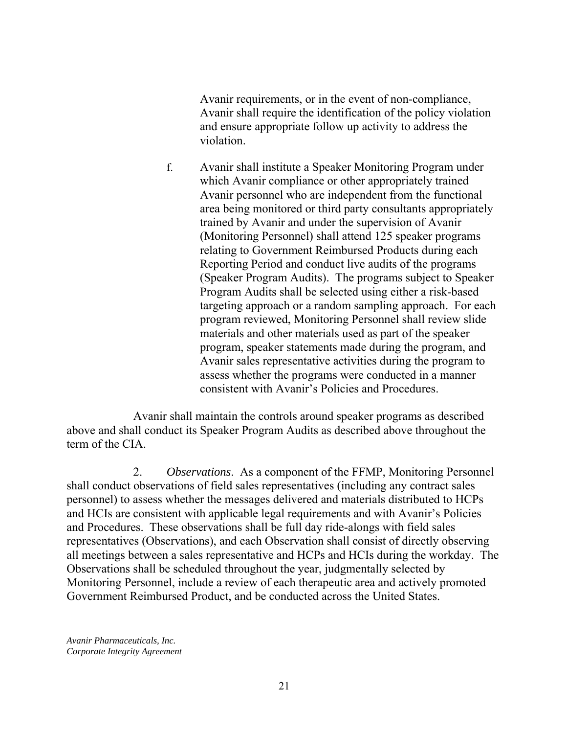Avanir requirements, or in the event of non-compliance, Avanir shall require the identification of the policy violation and ensure appropriate follow up activity to address the violation.

f. Avanir shall institute a Speaker Monitoring Program under which Avanir compliance or other appropriately trained Avanir personnel who are independent from the functional area being monitored or third party consultants appropriately trained by Avanir and under the supervision of Avanir (Monitoring Personnel) shall attend 125 speaker programs relating to Government Reimbursed Products during each Reporting Period and conduct live audits of the programs (Speaker Program Audits). The programs subject to Speaker Program Audits shall be selected using either a risk-based targeting approach or a random sampling approach. For each program reviewed, Monitoring Personnel shall review slide materials and other materials used as part of the speaker program, speaker statements made during the program, and Avanir sales representative activities during the program to assess whether the programs were conducted in a manner consistent with Avanir's Policies and Procedures.

Avanir shall maintain the controls around speaker programs as described above and shall conduct its Speaker Program Audits as described above throughout the term of the CIA.

 2. *Observations*. As a component of the FFMP, Monitoring Personnel shall conduct observations of field sales representatives (including any contract sales personnel) to assess whether the messages delivered and materials distributed to HCPs and HCIs are consistent with applicable legal requirements and with Avanir's Policies and Procedures. These observations shall be full day ride-alongs with field sales representatives (Observations), and each Observation shall consist of directly observing all meetings between a sales representative and HCPs and HCIs during the workday. The Observations shall be scheduled throughout the year, judgmentally selected by Monitoring Personnel, include a review of each therapeutic area and actively promoted Government Reimbursed Product, and be conducted across the United States.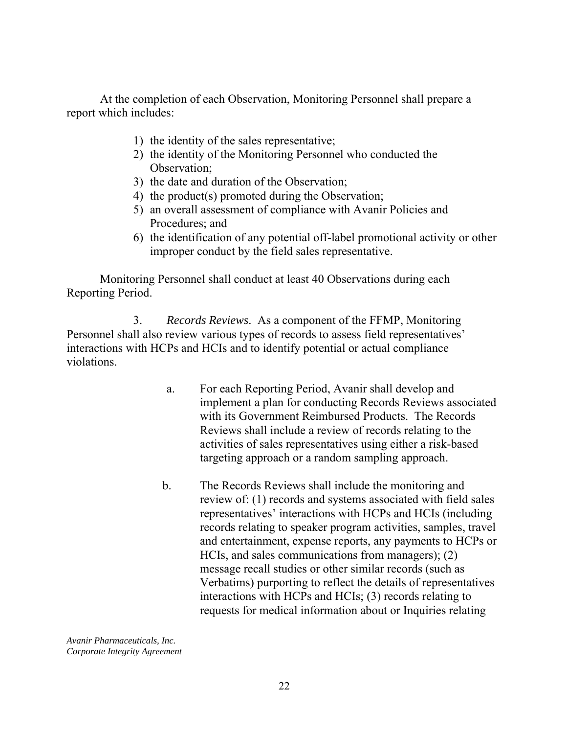At the completion of each Observation, Monitoring Personnel shall prepare a report which includes:

- 1) the identity of the sales representative;
- 2) the identity of the Monitoring Personnel who conducted the Observation;
- 3) the date and duration of the Observation;
- 4) the product(s) promoted during the Observation;
- 5) an overall assessment of compliance with Avanir Policies and Procedures; and
- 6) the identification of any potential off-label promotional activity or other improper conduct by the field sales representative.

Monitoring Personnel shall conduct at least 40 Observations during each Reporting Period.

 3. *Records Reviews*. As a component of the FFMP, Monitoring Personnel shall also review various types of records to assess field representatives' interactions with HCPs and HCIs and to identify potential or actual compliance violations.

- a. For each Reporting Period, Avanir shall develop and implement a plan for conducting Records Reviews associated with its Government Reimbursed Products. The Records Reviews shall include a review of records relating to the activities of sales representatives using either a risk-based targeting approach or a random sampling approach.
- b. The Records Reviews shall include the monitoring and review of: (1) records and systems associated with field sales representatives' interactions with HCPs and HCIs (including records relating to speaker program activities, samples, travel and entertainment, expense reports, any payments to HCPs or HCIs, and sales communications from managers); (2) message recall studies or other similar records (such as Verbatims) purporting to reflect the details of representatives interactions with HCPs and HCIs; (3) records relating to requests for medical information about or Inquiries relating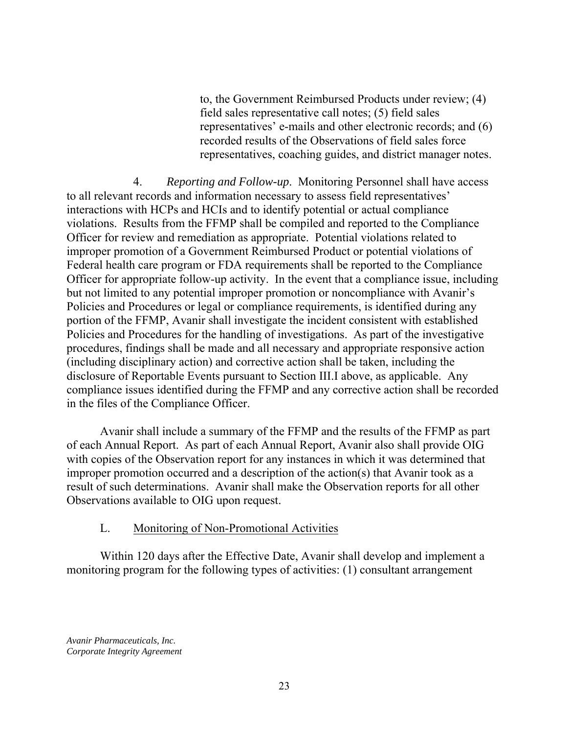to, the Government Reimbursed Products under review; (4) field sales representative call notes; (5) field sales representatives' e-mails and other electronic records; and (6) recorded results of the Observations of field sales force representatives, coaching guides, and district manager notes.

4. *Reporting and Follow-up*. Monitoring Personnel shall have access to all relevant records and information necessary to assess field representatives' interactions with HCPs and HCIs and to identify potential or actual compliance violations. Results from the FFMP shall be compiled and reported to the Compliance Officer for review and remediation as appropriate. Potential violations related to improper promotion of a Government Reimbursed Product or potential violations of Federal health care program or FDA requirements shall be reported to the Compliance Officer for appropriate follow-up activity. In the event that a compliance issue, including but not limited to any potential improper promotion or noncompliance with Avanir's Policies and Procedures or legal or compliance requirements, is identified during any portion of the FFMP, Avanir shall investigate the incident consistent with established Policies and Procedures for the handling of investigations. As part of the investigative procedures, findings shall be made and all necessary and appropriate responsive action (including disciplinary action) and corrective action shall be taken, including the disclosure of Reportable Events pursuant to Section III.I above, as applicable. Any compliance issues identified during the FFMP and any corrective action shall be recorded in the files of the Compliance Officer.

Avanir shall include a summary of the FFMP and the results of the FFMP as part of each Annual Report. As part of each Annual Report, Avanir also shall provide OIG with copies of the Observation report for any instances in which it was determined that improper promotion occurred and a description of the action(s) that Avanir took as a result of such determinations. Avanir shall make the Observation reports for all other Observations available to OIG upon request.

#### L. Monitoring of Non-Promotional Activities

Within 120 days after the Effective Date, Avanir shall develop and implement a monitoring program for the following types of activities: (1) consultant arrangement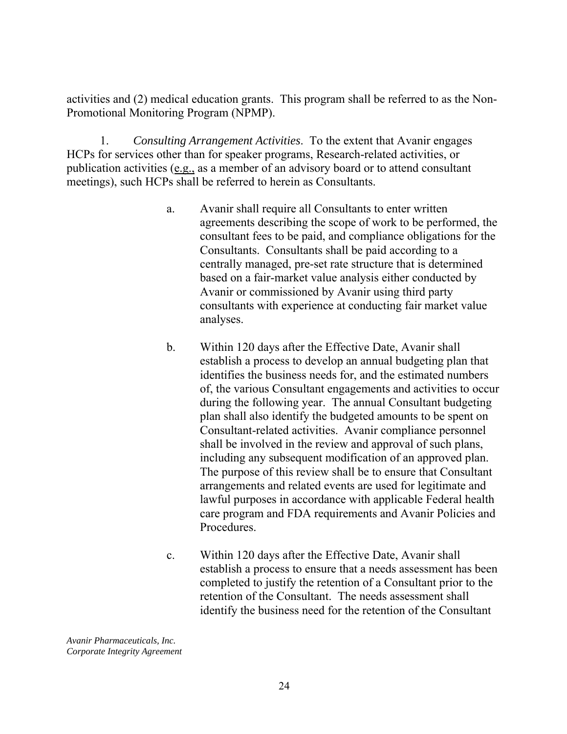activities and (2) medical education grants. This program shall be referred to as the Non-Promotional Monitoring Program (NPMP).

1. *Consulting Arrangement Activities*. To the extent that Avanir engages HCPs for services other than for speaker programs, Research-related activities, or publication activities (e.g., as a member of an advisory board or to attend consultant meetings), such HCPs shall be referred to herein as Consultants.

- a. Avanir shall require all Consultants to enter written agreements describing the scope of work to be performed, the consultant fees to be paid, and compliance obligations for the Consultants. Consultants shall be paid according to a centrally managed, pre-set rate structure that is determined based on a fair-market value analysis either conducted by Avanir or commissioned by Avanir using third party consultants with experience at conducting fair market value analyses.
- b. Within 120 days after the Effective Date, Avanir shall establish a process to develop an annual budgeting plan that identifies the business needs for, and the estimated numbers of, the various Consultant engagements and activities to occur during the following year. The annual Consultant budgeting plan shall also identify the budgeted amounts to be spent on Consultant-related activities. Avanir compliance personnel shall be involved in the review and approval of such plans, including any subsequent modification of an approved plan. The purpose of this review shall be to ensure that Consultant arrangements and related events are used for legitimate and lawful purposes in accordance with applicable Federal health care program and FDA requirements and Avanir Policies and Procedures.
- c. Within 120 days after the Effective Date, Avanir shall establish a process to ensure that a needs assessment has been completed to justify the retention of a Consultant prior to the retention of the Consultant. The needs assessment shall identify the business need for the retention of the Consultant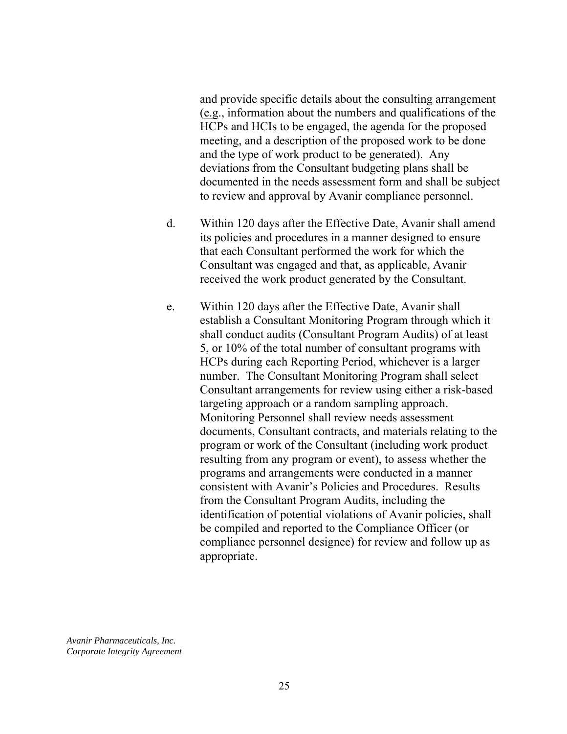and provide specific details about the consulting arrangement (e.g., information about the numbers and qualifications of the HCPs and HCIs to be engaged, the agenda for the proposed meeting, and a description of the proposed work to be done and the type of work product to be generated). Any deviations from the Consultant budgeting plans shall be documented in the needs assessment form and shall be subject to review and approval by Avanir compliance personnel.

- d. Within 120 days after the Effective Date, Avanir shall amend its policies and procedures in a manner designed to ensure that each Consultant performed the work for which the Consultant was engaged and that, as applicable, Avanir received the work product generated by the Consultant.
- e. Within 120 days after the Effective Date, Avanir shall establish a Consultant Monitoring Program through which it shall conduct audits (Consultant Program Audits) of at least 5, or 10% of the total number of consultant programs with HCPs during each Reporting Period, whichever is a larger number. The Consultant Monitoring Program shall select Consultant arrangements for review using either a risk-based targeting approach or a random sampling approach. Monitoring Personnel shall review needs assessment documents, Consultant contracts, and materials relating to the program or work of the Consultant (including work product resulting from any program or event), to assess whether the programs and arrangements were conducted in a manner consistent with Avanir's Policies and Procedures. Results from the Consultant Program Audits, including the identification of potential violations of Avanir policies, shall be compiled and reported to the Compliance Officer (or compliance personnel designee) for review and follow up as appropriate.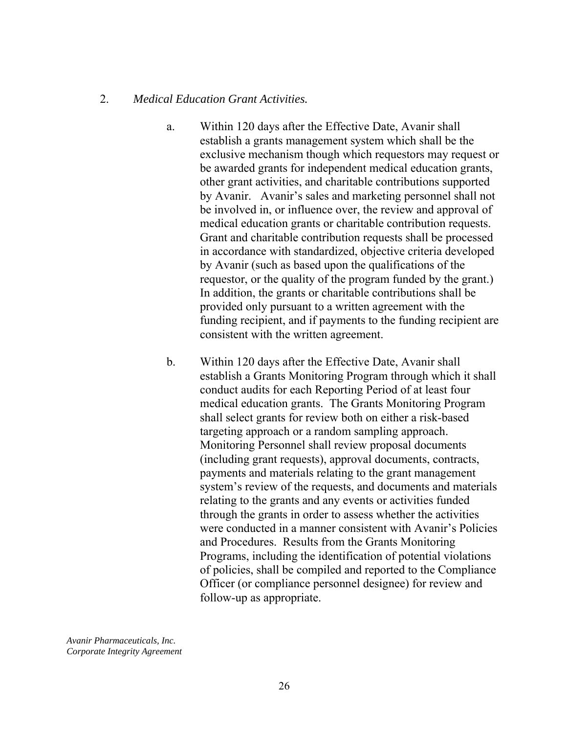#### 2. *Medical Education Grant Activities.*

- a. Within 120 days after the Effective Date, Avanir shall establish a grants management system which shall be the exclusive mechanism though which requestors may request or be awarded grants for independent medical education grants, other grant activities, and charitable contributions supported by Avanir. Avanir's sales and marketing personnel shall not be involved in, or influence over, the review and approval of medical education grants or charitable contribution requests. Grant and charitable contribution requests shall be processed in accordance with standardized, objective criteria developed by Avanir (such as based upon the qualifications of the requestor, or the quality of the program funded by the grant.) In addition, the grants or charitable contributions shall be provided only pursuant to a written agreement with the funding recipient, and if payments to the funding recipient are consistent with the written agreement.
- b. Within 120 days after the Effective Date, Avanir shall establish a Grants Monitoring Program through which it shall conduct audits for each Reporting Period of at least four medical education grants. The Grants Monitoring Program shall select grants for review both on either a risk-based targeting approach or a random sampling approach. Monitoring Personnel shall review proposal documents (including grant requests), approval documents, contracts, payments and materials relating to the grant management system's review of the requests, and documents and materials relating to the grants and any events or activities funded through the grants in order to assess whether the activities were conducted in a manner consistent with Avanir's Policies and Procedures. Results from the Grants Monitoring Programs, including the identification of potential violations of policies, shall be compiled and reported to the Compliance Officer (or compliance personnel designee) for review and follow-up as appropriate.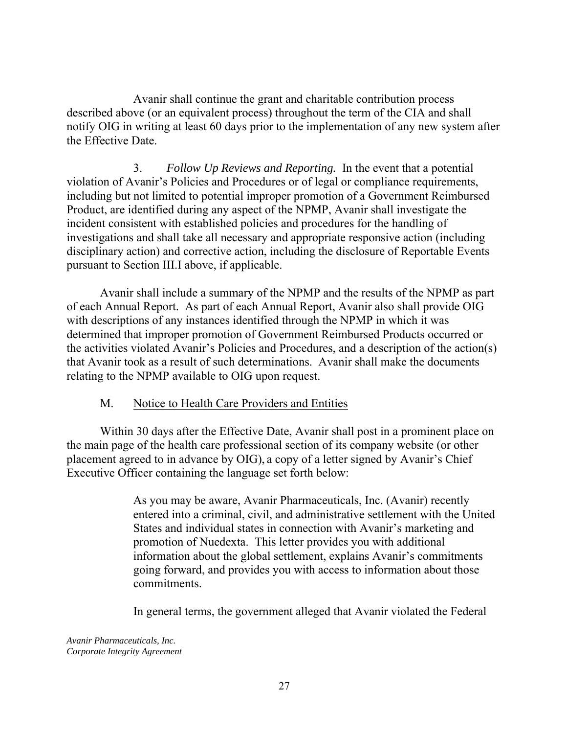Avanir shall continue the grant and charitable contribution process described above (or an equivalent process) throughout the term of the CIA and shall notify OIG in writing at least 60 days prior to the implementation of any new system after the Effective Date.

3. *Follow Up Reviews and Reporting.* In the event that a potential violation of Avanir's Policies and Procedures or of legal or compliance requirements, including but not limited to potential improper promotion of a Government Reimbursed Product, are identified during any aspect of the NPMP, Avanir shall investigate the incident consistent with established policies and procedures for the handling of investigations and shall take all necessary and appropriate responsive action (including disciplinary action) and corrective action, including the disclosure of Reportable Events pursuant to Section III.I above, if applicable.

Avanir shall include a summary of the NPMP and the results of the NPMP as part of each Annual Report. As part of each Annual Report, Avanir also shall provide OIG with descriptions of any instances identified through the NPMP in which it was determined that improper promotion of Government Reimbursed Products occurred or the activities violated Avanir's Policies and Procedures, and a description of the action(s) that Avanir took as a result of such determinations. Avanir shall make the documents relating to the NPMP available to OIG upon request.

### M. Notice to Health Care Providers and Entities

Within 30 days after the Effective Date, Avanir shall post in a prominent place on the main page of the health care professional section of its company website (or other placement agreed to in advance by OIG), a copy of a letter signed by Avanir's Chief Executive Officer containing the language set forth below:

> As you may be aware, Avanir Pharmaceuticals, Inc. (Avanir) recently entered into a criminal, civil, and administrative settlement with the United States and individual states in connection with Avanir's marketing and promotion of Nuedexta. This letter provides you with additional information about the global settlement, explains Avanir's commitments going forward, and provides you with access to information about those commitments.

In general terms, the government alleged that Avanir violated the Federal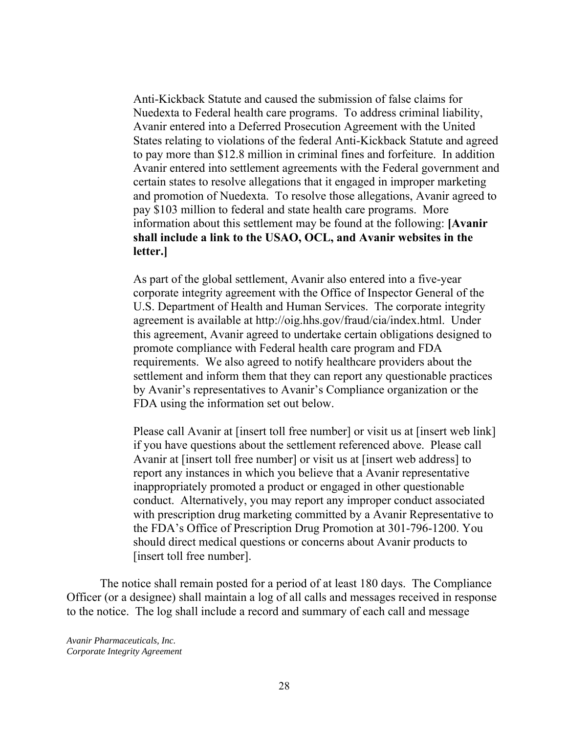**shall include a link to the USAO, OCL, and Avanir websites in the letter.]** Anti-Kickback Statute and caused the submission of false claims for Nuedexta to Federal health care programs. To address criminal liability, Avanir entered into a Deferred Prosecution Agreement with the United States relating to violations of the federal Anti-Kickback Statute and agreed to pay more than \$12.8 million in criminal fines and forfeiture. In addition Avanir entered into settlement agreements with the Federal government and certain states to resolve allegations that it engaged in improper marketing and promotion of Nuedexta. To resolve those allegations, Avanir agreed to pay \$103 million to federal and state health care programs. More information about this settlement may be found at the following: **[Avanir** 

As part of the global settlement, Avanir also entered into a five-year corporate integrity agreement with the Office of Inspector General of the U.S. Department of Health and Human Services. The corporate integrity agreement is available at http://oig.hhs.gov/fraud/cia/index.html. Under this agreement, Avanir agreed to undertake certain obligations designed to promote compliance with Federal health care program and FDA requirements. We also agreed to notify healthcare providers about the settlement and inform them that they can report any questionable practices by Avanir's representatives to Avanir's Compliance organization or the FDA using the information set out below.

 conduct. Alternatively, you may report any improper conduct associated Please call Avanir at [insert toll free number] or visit us at [insert web link] if you have questions about the settlement referenced above. Please call Avanir at [insert toll free number] or visit us at [insert web address] to report any instances in which you believe that a Avanir representative inappropriately promoted a product or engaged in other questionable with prescription drug marketing committed by a Avanir Representative to the FDA's Office of Prescription Drug Promotion at 301-796-1200. You should direct medical questions or concerns about Avanir products to [insert toll free number].

The notice shall remain posted for a period of at least 180 days. The Compliance Officer (or a designee) shall maintain a log of all calls and messages received in response to the notice. The log shall include a record and summary of each call and message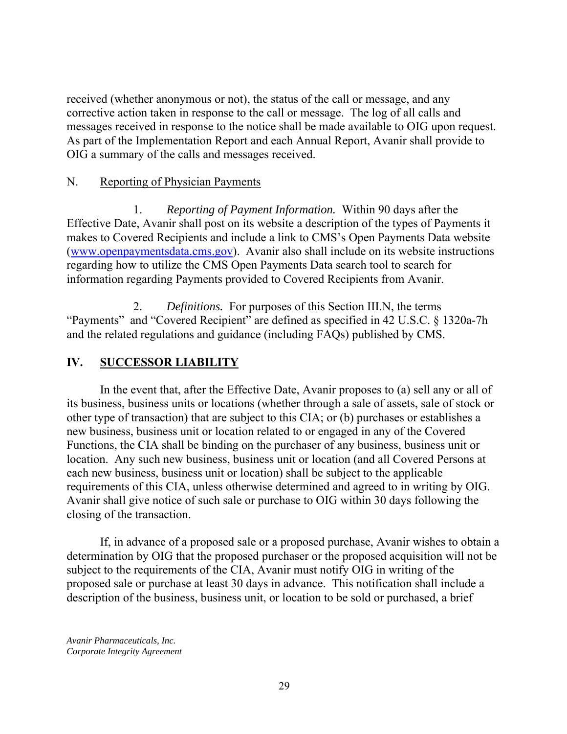received (whether anonymous or not), the status of the call or message, and any corrective action taken in response to the call or message. The log of all calls and messages received in response to the notice shall be made available to OIG upon request. As part of the Implementation Report and each Annual Report, Avanir shall provide to OIG a summary of the calls and messages received.

### N. Reporting of Physician Payments

 1. *Reporting of Payment Information.* Within 90 days after the Effective Date, Avanir shall post on its website a description of the types of Payments it makes to Covered Recipients and include a link to CMS's Open Payments Data website (www.openpaymentsdata.cms.gov). Avanir also shall include on its website instructions regarding how to utilize the CMS Open Payments Data search tool to search for information regarding Payments provided to Covered Recipients from Avanir.

 2. *Definitions.* For purposes of this Section III.N, the terms "Payments" and "Covered Recipient" are defined as specified in 42 U.S.C. § 1320a-7h and the related regulations and guidance (including FAQs) published by CMS.

## **IV. SUCCESSOR LIABILITY**

In the event that, after the Effective Date, Avanir proposes to (a) sell any or all of its business, business units or locations (whether through a sale of assets, sale of stock or other type of transaction) that are subject to this CIA; or (b) purchases or establishes a new business, business unit or location related to or engaged in any of the Covered Functions, the CIA shall be binding on the purchaser of any business, business unit or location. Any such new business, business unit or location (and all Covered Persons at each new business, business unit or location) shall be subject to the applicable requirements of this CIA, unless otherwise determined and agreed to in writing by OIG. Avanir shall give notice of such sale or purchase to OIG within 30 days following the closing of the transaction.

If, in advance of a proposed sale or a proposed purchase, Avanir wishes to obtain a determination by OIG that the proposed purchaser or the proposed acquisition will not be subject to the requirements of the CIA, Avanir must notify OIG in writing of the proposed sale or purchase at least 30 days in advance. This notification shall include a description of the business, business unit, or location to be sold or purchased, a brief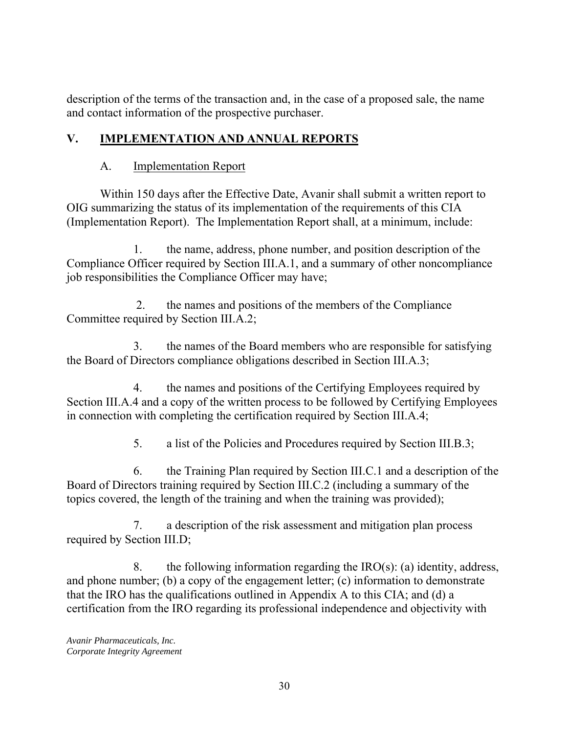description of the terms of the transaction and, in the case of a proposed sale, the name and contact information of the prospective purchaser.

## **V. IMPLEMENTATION AND ANNUAL REPORTS**

## A. Implementation Report

Within 150 days after the Effective Date, Avanir shall submit a written report to OIG summarizing the status of its implementation of the requirements of this CIA (Implementation Report). The Implementation Report shall, at a minimum, include:

1. the name, address, phone number, and position description of the Compliance Officer required by Section III.A.1, and a summary of other noncompliance job responsibilities the Compliance Officer may have;

 2. the names and positions of the members of the Compliance Committee required by Section III.A.2;

3. the names of the Board members who are responsible for satisfying the Board of Directors compliance obligations described in Section III.A.3;

4. the names and positions of the Certifying Employees required by Section III.A.4 and a copy of the written process to be followed by Certifying Employees in connection with completing the certification required by Section III.A.4;

5. a list of the Policies and Procedures required by Section III.B.3;

 topics covered, the length of the training and when the training was provided); 6. the Training Plan required by Section III.C.1 and a description of the Board of Directors training required by Section III.C.2 (including a summary of the

7. a description of the risk assessment and mitigation plan process required by Section III.D;

8. the following information regarding the  $IRO(s)$ : (a) identity, address, and phone number; (b) a copy of the engagement letter; (c) information to demonstrate that the IRO has the qualifications outlined in Appendix A to this CIA; and (d) a certification from the IRO regarding its professional independence and objectivity with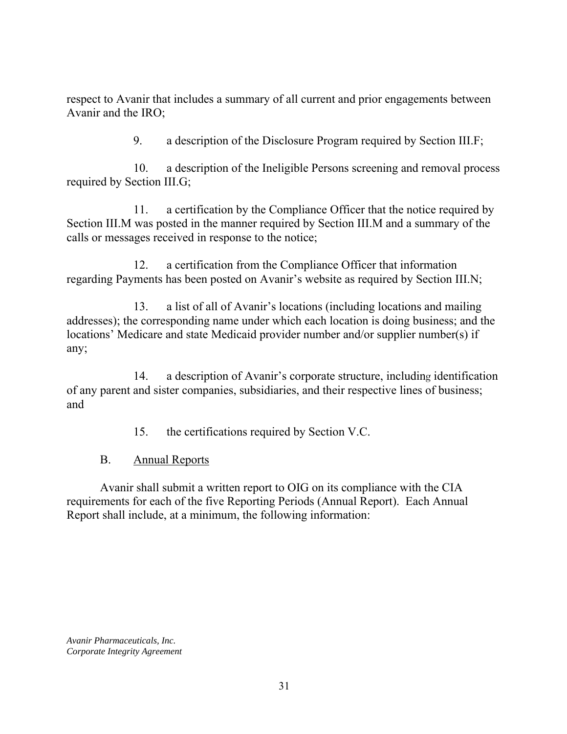respect to Avanir that includes a summary of all current and prior engagements between Avanir and the IRO;

9. a description of the Disclosure Program required by Section III.F;

10. a description of the Ineligible Persons screening and removal process required by Section III.G;

11. a certification by the Compliance Officer that the notice required by Section III.M was posted in the manner required by Section III.M and a summary of the calls or messages received in response to the notice;

12. a certification from the Compliance Officer that information regarding Payments has been posted on Avanir's website as required by Section III.N;

13. a list of all of Avanir's locations (including locations and mailing addresses); the corresponding name under which each location is doing business; and the locations' Medicare and state Medicaid provider number and/or supplier number(s) if any;

14. a description of Avanir's corporate structure, including identification of any parent and sister companies, subsidiaries, and their respective lines of business; and

15. the certifications required by Section V.C.

B. Annual Reports

Avanir shall submit a written report to OIG on its compliance with the CIA requirements for each of the five Reporting Periods (Annual Report). Each Annual Report shall include, at a minimum, the following information: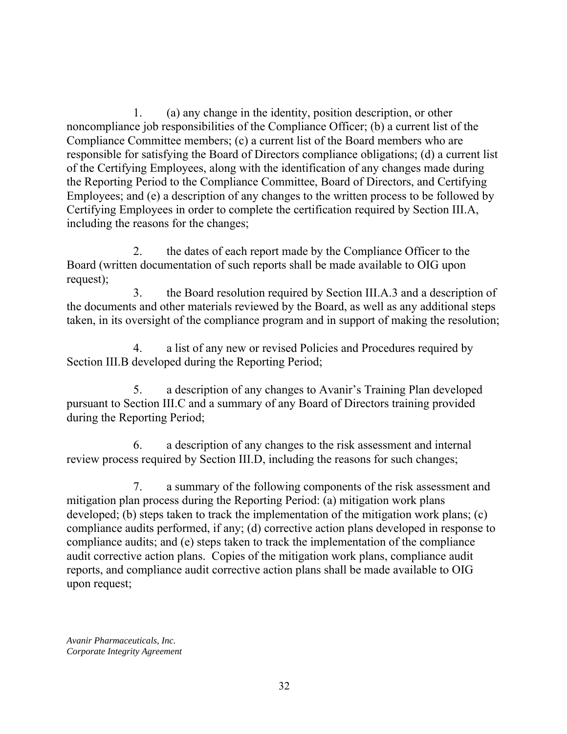1. (a) any change in the identity, position description, or other noncompliance job responsibilities of the Compliance Officer; (b) a current list of the Compliance Committee members; (c) a current list of the Board members who are responsible for satisfying the Board of Directors compliance obligations; (d) a current list of the Certifying Employees, along with the identification of any changes made during the Reporting Period to the Compliance Committee, Board of Directors, and Certifying Employees; and (e) a description of any changes to the written process to be followed by Certifying Employees in order to complete the certification required by Section III.A, including the reasons for the changes;

2. the dates of each report made by the Compliance Officer to the Board (written documentation of such reports shall be made available to OIG upon request);

3. the Board resolution required by Section III.A.3 and a description of the documents and other materials reviewed by the Board, as well as any additional steps taken, in its oversight of the compliance program and in support of making the resolution;

4. a list of any new or revised Policies and Procedures required by Section III.B developed during the Reporting Period;

5. a description of any changes to Avanir's Training Plan developed pursuant to Section III.C and a summary of any Board of Directors training provided during the Reporting Period;

6. a description of any changes to the risk assessment and internal review process required by Section III.D, including the reasons for such changes;

7. a summary of the following components of the risk assessment and mitigation plan process during the Reporting Period: (a) mitigation work plans developed; (b) steps taken to track the implementation of the mitigation work plans; (c) compliance audits performed, if any; (d) corrective action plans developed in response to compliance audits; and (e) steps taken to track the implementation of the compliance audit corrective action plans. Copies of the mitigation work plans, compliance audit reports, and compliance audit corrective action plans shall be made available to OIG upon request;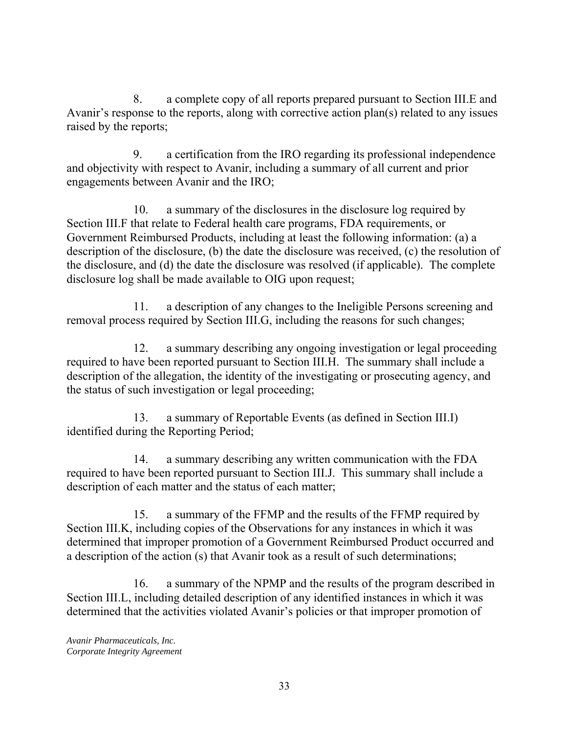8. a complete copy of all reports prepared pursuant to Section III.E and Avanir's response to the reports, along with corrective action plan(s) related to any issues raised by the reports;

9. a certification from the IRO regarding its professional independence and objectivity with respect to Avanir, including a summary of all current and prior engagements between Avanir and the IRO;

10. a summary of the disclosures in the disclosure log required by Section III.F that relate to Federal health care programs, FDA requirements, or Government Reimbursed Products, including at least the following information: (a) a description of the disclosure, (b) the date the disclosure was received, (c) the resolution of the disclosure, and (d) the date the disclosure was resolved (if applicable). The complete disclosure log shall be made available to OIG upon request;

11. a description of any changes to the Ineligible Persons screening and removal process required by Section III.G, including the reasons for such changes;

12. a summary describing any ongoing investigation or legal proceeding required to have been reported pursuant to Section III.H. The summary shall include a description of the allegation, the identity of the investigating or prosecuting agency, and the status of such investigation or legal proceeding;

13. a summary of Reportable Events (as defined in Section III.I) identified during the Reporting Period;

14. a summary describing any written communication with the FDA required to have been reported pursuant to Section III.J. This summary shall include a description of each matter and the status of each matter;

15. a summary of the FFMP and the results of the FFMP required by Section III.K, including copies of the Observations for any instances in which it was determined that improper promotion of a Government Reimbursed Product occurred and a description of the action (s) that Avanir took as a result of such determinations;

16. a summary of the NPMP and the results of the program described in Section III.L, including detailed description of any identified instances in which it was determined that the activities violated Avanir's policies or that improper promotion of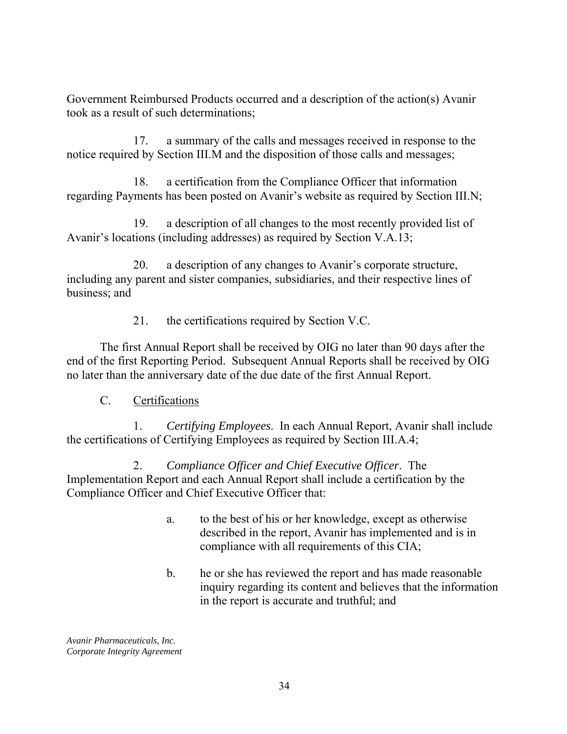Government Reimbursed Products occurred and a description of the action(s) Avanir took as a result of such determinations;

17. a summary of the calls and messages received in response to the notice required by Section III.M and the disposition of those calls and messages;

18. a certification from the Compliance Officer that information regarding Payments has been posted on Avanir's website as required by Section III.N;

19. a description of all changes to the most recently provided list of Avanir's locations (including addresses) as required by Section V.A.13;

20. a description of any changes to Avanir's corporate structure, including any parent and sister companies, subsidiaries, and their respective lines of business; and

21. the certifications required by Section V.C.

The first Annual Report shall be received by OIG no later than 90 days after the end of the first Reporting Period. Subsequent Annual Reports shall be received by OIG no later than the anniversary date of the due date of the first Annual Report.

C. Certifications

1. *Certifying Employees*. In each Annual Report, Avanir shall include the certifications of Certifying Employees as required by Section III.A.4;

2. *Compliance Officer and Chief Executive Officer*. The Implementation Report and each Annual Report shall include a certification by the Compliance Officer and Chief Executive Officer that:

- a. to the best of his or her knowledge, except as otherwise described in the report, Avanir has implemented and is in compliance with all requirements of this CIA;
- b. he or she has reviewed the report and has made reasonable inquiry regarding its content and believes that the information in the report is accurate and truthful; and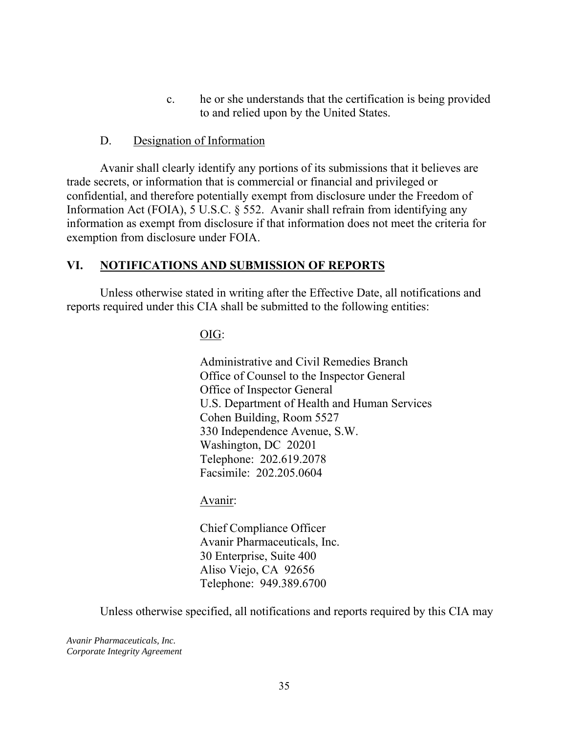c. he or she understands that the certification is being provided to and relied upon by the United States.

#### D. Designation of Information

Avanir shall clearly identify any portions of its submissions that it believes are trade secrets, or information that is commercial or financial and privileged or confidential, and therefore potentially exempt from disclosure under the Freedom of Information Act (FOIA), 5 U.S.C. § 552. Avanir shall refrain from identifying any information as exempt from disclosure if that information does not meet the criteria for exemption from disclosure under FOIA.

#### **VI. NOTIFICATIONS AND SUBMISSION OF REPORTS**

Unless otherwise stated in writing after the Effective Date, all notifications and reports required under this CIA shall be submitted to the following entities:

OIG:

Administrative and Civil Remedies Branch Office of Counsel to the Inspector General Office of Inspector General U.S. Department of Health and Human Services Cohen Building, Room 5527 330 Independence Avenue, S.W. Washington, DC 20201 Telephone: 202.619.2078 Facsimile: 202.205.0604

#### Avanir:

Chief Compliance Officer Avanir Pharmaceuticals, Inc. 30 Enterprise, Suite 400 Aliso Viejo, CA 92656 Telephone: 949.389.6700

Unless otherwise specified, all notifications and reports required by this CIA may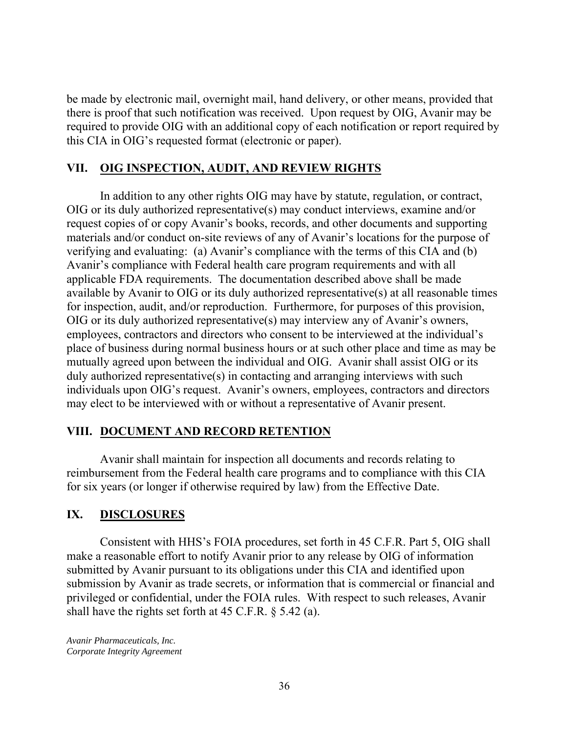be made by electronic mail, overnight mail, hand delivery, or other means, provided that there is proof that such notification was received. Upon request by OIG, Avanir may be required to provide OIG with an additional copy of each notification or report required by this CIA in OIG's requested format (electronic or paper).

### **VII. OIG INSPECTION, AUDIT, AND REVIEW RIGHTS**

In addition to any other rights OIG may have by statute, regulation, or contract, OIG or its duly authorized representative(s) may conduct interviews, examine and/or request copies of or copy Avanir's books, records, and other documents and supporting materials and/or conduct on-site reviews of any of Avanir's locations for the purpose of verifying and evaluating: (a) Avanir's compliance with the terms of this CIA and (b) Avanir's compliance with Federal health care program requirements and with all applicable FDA requirements. The documentation described above shall be made available by Avanir to OIG or its duly authorized representative(s) at all reasonable times for inspection, audit, and/or reproduction. Furthermore, for purposes of this provision, OIG or its duly authorized representative(s) may interview any of Avanir's owners, employees, contractors and directors who consent to be interviewed at the individual's place of business during normal business hours or at such other place and time as may be mutually agreed upon between the individual and OIG. Avanir shall assist OIG or its duly authorized representative(s) in contacting and arranging interviews with such individuals upon OIG's request. Avanir's owners, employees, contractors and directors may elect to be interviewed with or without a representative of Avanir present.

## **VIII. DOCUMENT AND RECORD RETENTION**

Avanir shall maintain for inspection all documents and records relating to reimbursement from the Federal health care programs and to compliance with this CIA for six years (or longer if otherwise required by law) from the Effective Date.

## **IX. DISCLOSURES**

Consistent with HHS's FOIA procedures, set forth in 45 C.F.R. Part 5, OIG shall make a reasonable effort to notify Avanir prior to any release by OIG of information submitted by Avanir pursuant to its obligations under this CIA and identified upon submission by Avanir as trade secrets, or information that is commercial or financial and privileged or confidential, under the FOIA rules. With respect to such releases, Avanir shall have the rights set forth at 45 C.F.R. § 5.42 (a).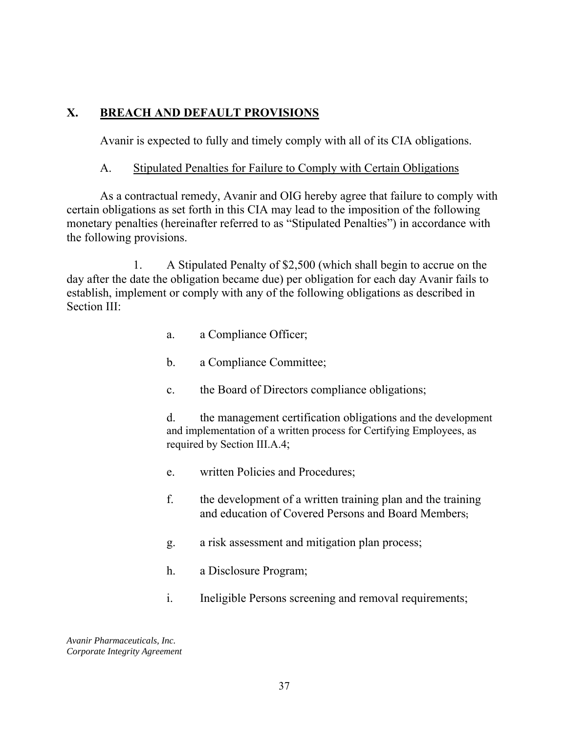### **X. BREACH AND DEFAULT PROVISIONS**

Avanir is expected to fully and timely comply with all of its CIA obligations.

### A. Stipulated Penalties for Failure to Comply with Certain Obligations

As a contractual remedy, Avanir and OIG hereby agree that failure to comply with certain obligations as set forth in this CIA may lead to the imposition of the following monetary penalties (hereinafter referred to as "Stipulated Penalties") in accordance with the following provisions.

1. A Stipulated Penalty of \$2,500 (which shall begin to accrue on the day after the date the obligation became due) per obligation for each day Avanir fails to establish, implement or comply with any of the following obligations as described in Section III:

- a. a Compliance Officer;
- b. a Compliance Committee;
- c. the Board of Directors compliance obligations;

d. the management certification obligations and the development and implementation of a written process for Certifying Employees, as required by Section III.A.4;

- e. written Policies and Procedures;
- f. the development of a written training plan and the training and education of Covered Persons and Board Members;
- g. a risk assessment and mitigation plan process;
- h. a Disclosure Program;
- i. Ineligible Persons screening and removal requirements;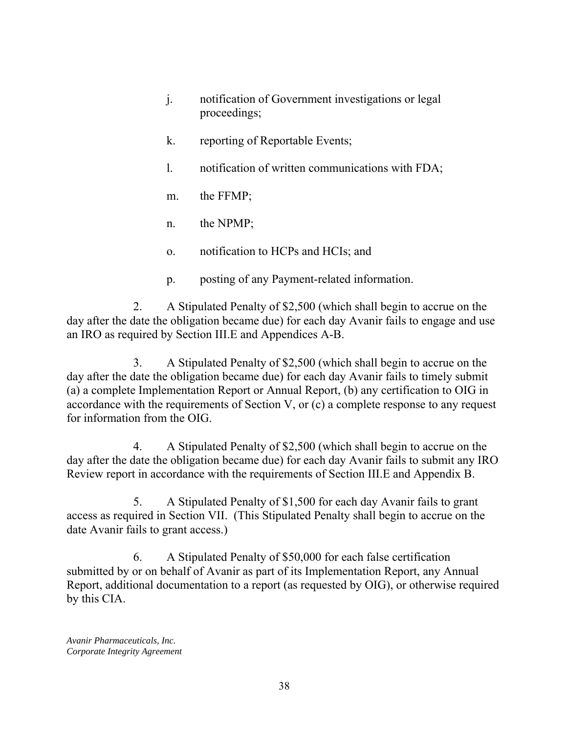- j. notification of Government investigations or legal proceedings;
- k. reporting of Reportable Events;
- l. notification of written communications with FDA;
- m. the FFMP;
- n. the NPMP;
- o. notification to HCPs and HCIs; and
- p. posting of any Payment-related information.

2. A Stipulated Penalty of \$2,500 (which shall begin to accrue on the day after the date the obligation became due) for each day Avanir fails to engage and use an IRO as required by Section III.E and Appendices A-B.

3. A Stipulated Penalty of \$2,500 (which shall begin to accrue on the day after the date the obligation became due) for each day Avanir fails to timely submit (a) a complete Implementation Report or Annual Report, (b) any certification to OIG in accordance with the requirements of Section V, or (c) a complete response to any request for information from the OIG.

4. A Stipulated Penalty of \$2,500 (which shall begin to accrue on the day after the date the obligation became due) for each day Avanir fails to submit any IRO Review report in accordance with the requirements of Section III.E and Appendix B.

5. A Stipulated Penalty of \$1,500 for each day Avanir fails to grant access as required in Section VII. (This Stipulated Penalty shall begin to accrue on the date Avanir fails to grant access.)

6. A Stipulated Penalty of \$50,000 for each false certification submitted by or on behalf of Avanir as part of its Implementation Report, any Annual Report, additional documentation to a report (as requested by OIG), or otherwise required by this CIA.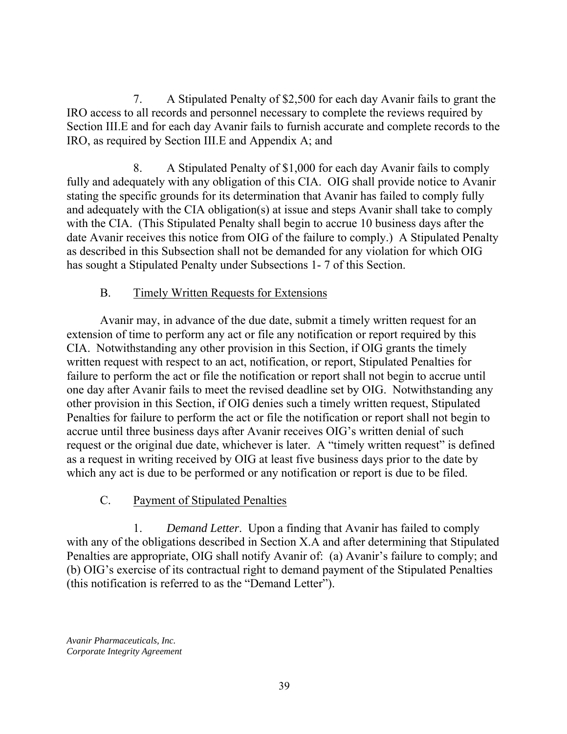7. A Stipulated Penalty of \$2,500 for each day Avanir fails to grant the IRO access to all records and personnel necessary to complete the reviews required by Section III.E and for each day Avanir fails to furnish accurate and complete records to the IRO, as required by Section III.E and Appendix A; and

8. A Stipulated Penalty of \$1,000 for each day Avanir fails to comply fully and adequately with any obligation of this CIA. OIG shall provide notice to Avanir stating the specific grounds for its determination that Avanir has failed to comply fully and adequately with the CIA obligation(s) at issue and steps Avanir shall take to comply with the CIA. (This Stipulated Penalty shall begin to accrue 10 business days after the date Avanir receives this notice from OIG of the failure to comply.) A Stipulated Penalty as described in this Subsection shall not be demanded for any violation for which OIG has sought a Stipulated Penalty under Subsections 1- 7 of this Section.

## B. Timely Written Requests for Extensions

Avanir may, in advance of the due date, submit a timely written request for an extension of time to perform any act or file any notification or report required by this CIA. Notwithstanding any other provision in this Section, if OIG grants the timely written request with respect to an act, notification, or report, Stipulated Penalties for failure to perform the act or file the notification or report shall not begin to accrue until one day after Avanir fails to meet the revised deadline set by OIG. Notwithstanding any other provision in this Section, if OIG denies such a timely written request, Stipulated Penalties for failure to perform the act or file the notification or report shall not begin to accrue until three business days after Avanir receives OIG's written denial of such request or the original due date, whichever is later. A "timely written request" is defined as a request in writing received by OIG at least five business days prior to the date by which any act is due to be performed or any notification or report is due to be filed.

## C. Payment of Stipulated Penalties

1. *Demand Letter*. Upon a finding that Avanir has failed to comply with any of the obligations described in Section X.A and after determining that Stipulated Penalties are appropriate, OIG shall notify Avanir of: (a) Avanir's failure to comply; and (b) OIG's exercise of its contractual right to demand payment of the Stipulated Penalties (this notification is referred to as the "Demand Letter").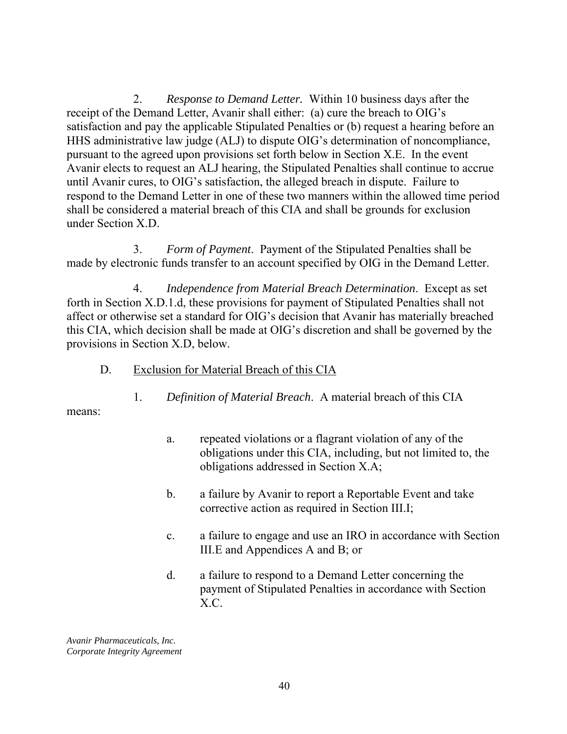2. *Response to Demand Letter.* Within 10 business days after the receipt of the Demand Letter, Avanir shall either: (a) cure the breach to OIG's satisfaction and pay the applicable Stipulated Penalties or (b) request a hearing before an HHS administrative law judge (ALJ) to dispute OIG's determination of noncompliance, pursuant to the agreed upon provisions set forth below in Section X.E. In the event Avanir elects to request an ALJ hearing, the Stipulated Penalties shall continue to accrue until Avanir cures, to OIG's satisfaction, the alleged breach in dispute. Failure to respond to the Demand Letter in one of these two manners within the allowed time period shall be considered a material breach of this CIA and shall be grounds for exclusion under Section X.D.

3. *Form of Payment*. Payment of the Stipulated Penalties shall be made by electronic funds transfer to an account specified by OIG in the Demand Letter.

4. *Independence from Material Breach Determination*. Except as set forth in Section X.D.1.d, these provisions for payment of Stipulated Penalties shall not affect or otherwise set a standard for OIG's decision that Avanir has materially breached this CIA, which decision shall be made at OIG's discretion and shall be governed by the provisions in Section X.D, below.

1. *Definition of Material Breach*. A material breach of this CIA

D. Exclusion for Material Breach of this CIA

means:

- a. repeated violations or a flagrant violation of any of the obligations under this CIA, including, but not limited to, the obligations addressed in Section X.A;
- b. a failure by Avanir to report a Reportable Event and take corrective action as required in Section III.I;
- c. a failure to engage and use an IRO in accordance with Section III.E and Appendices A and B; or
- d. a failure to respond to a Demand Letter concerning the payment of Stipulated Penalties in accordance with Section X.C.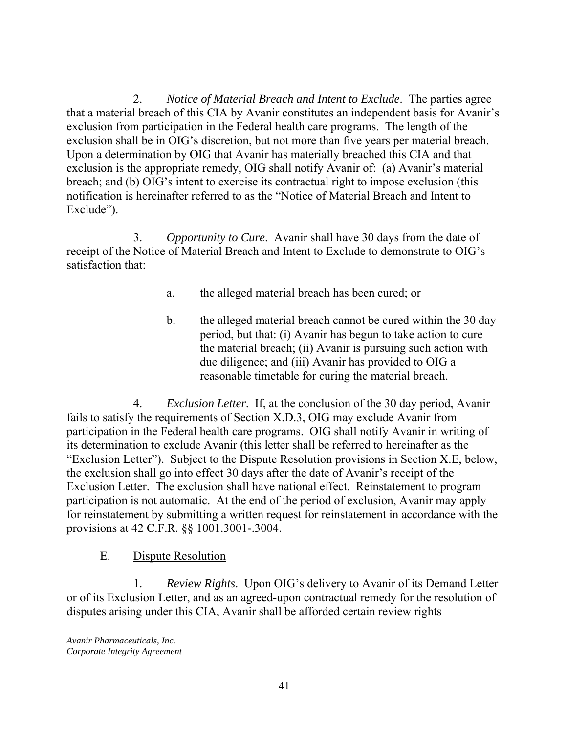2. *Notice of Material Breach and Intent to Exclude*. The parties agree that a material breach of this CIA by Avanir constitutes an independent basis for Avanir's exclusion from participation in the Federal health care programs. The length of the exclusion shall be in OIG's discretion, but not more than five years per material breach. Upon a determination by OIG that Avanir has materially breached this CIA and that exclusion is the appropriate remedy, OIG shall notify Avanir of: (a) Avanir's material breach; and (b) OIG's intent to exercise its contractual right to impose exclusion (this notification is hereinafter referred to as the "Notice of Material Breach and Intent to Exclude").

3. *Opportunity to Cure*. Avanir shall have 30 days from the date of receipt of the Notice of Material Breach and Intent to Exclude to demonstrate to OIG's satisfaction that:

- a. the alleged material breach has been cured; or
- b. the alleged material breach cannot be cured within the 30 day period, but that: (i) Avanir has begun to take action to cure the material breach; (ii) Avanir is pursuing such action with due diligence; and (iii) Avanir has provided to OIG a reasonable timetable for curing the material breach.

4. *Exclusion Letter*. If, at the conclusion of the 30 day period, Avanir fails to satisfy the requirements of Section X.D.3, OIG may exclude Avanir from participation in the Federal health care programs. OIG shall notify Avanir in writing of its determination to exclude Avanir (this letter shall be referred to hereinafter as the "Exclusion Letter"). Subject to the Dispute Resolution provisions in Section X.E, below, the exclusion shall go into effect 30 days after the date of Avanir's receipt of the Exclusion Letter. The exclusion shall have national effect. Reinstatement to program participation is not automatic. At the end of the period of exclusion, Avanir may apply for reinstatement by submitting a written request for reinstatement in accordance with the provisions at 42 C.F.R. §§ 1001.3001-.3004.

### E. Dispute Resolution

1. *Review Rights*. Upon OIG's delivery to Avanir of its Demand Letter or of its Exclusion Letter, and as an agreed-upon contractual remedy for the resolution of disputes arising under this CIA, Avanir shall be afforded certain review rights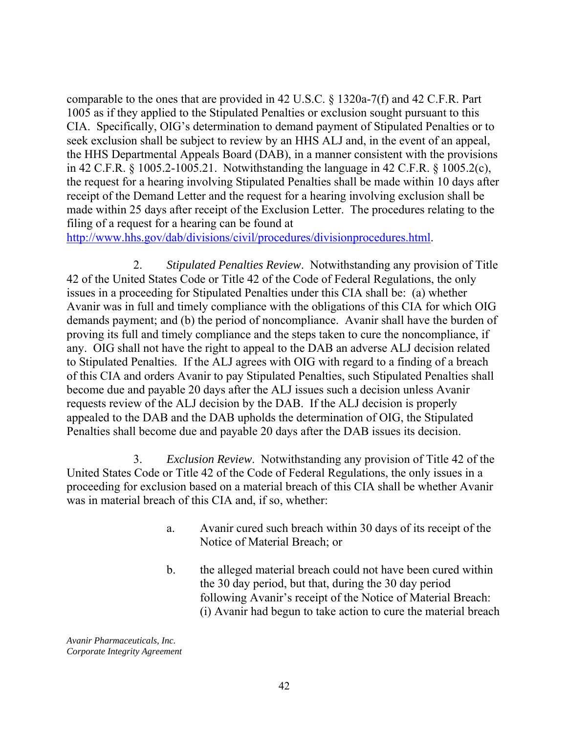in 42 C.F.R. § 1005.2-1005.21. Notwithstanding the language in 42 C.F.R. § 1005.2(c), comparable to the ones that are provided in 42 U.S.C. § 1320a-7(f) and 42 C.F.R. Part 1005 as if they applied to the Stipulated Penalties or exclusion sought pursuant to this CIA. Specifically, OIG's determination to demand payment of Stipulated Penalties or to seek exclusion shall be subject to review by an HHS ALJ and, in the event of an appeal, the HHS Departmental Appeals Board (DAB), in a manner consistent with the provisions the request for a hearing involving Stipulated Penalties shall be made within 10 days after receipt of the Demand Letter and the request for a hearing involving exclusion shall be made within 25 days after receipt of the Exclusion Letter. The procedures relating to the filing of a request for a hearing can be found at

http://www.hhs.gov/dab/divisions/civil/procedures/divisionprocedures.html.

2. *Stipulated Penalties Review*. Notwithstanding any provision of Title 42 of the United States Code or Title 42 of the Code of Federal Regulations, the only issues in a proceeding for Stipulated Penalties under this CIA shall be: (a) whether Avanir was in full and timely compliance with the obligations of this CIA for which OIG demands payment; and (b) the period of noncompliance. Avanir shall have the burden of proving its full and timely compliance and the steps taken to cure the noncompliance, if any. OIG shall not have the right to appeal to the DAB an adverse ALJ decision related to Stipulated Penalties. If the ALJ agrees with OIG with regard to a finding of a breach of this CIA and orders Avanir to pay Stipulated Penalties, such Stipulated Penalties shall become due and payable 20 days after the ALJ issues such a decision unless Avanir requests review of the ALJ decision by the DAB. If the ALJ decision is properly appealed to the DAB and the DAB upholds the determination of OIG, the Stipulated Penalties shall become due and payable 20 days after the DAB issues its decision.

3. *Exclusion Review*. Notwithstanding any provision of Title 42 of the United States Code or Title 42 of the Code of Federal Regulations, the only issues in a proceeding for exclusion based on a material breach of this CIA shall be whether Avanir was in material breach of this CIA and, if so, whether:

- a. Avanir cured such breach within 30 days of its receipt of the Notice of Material Breach; or
- b. the alleged material breach could not have been cured within the 30 day period, but that, during the 30 day period following Avanir's receipt of the Notice of Material Breach: (i) Avanir had begun to take action to cure the material breach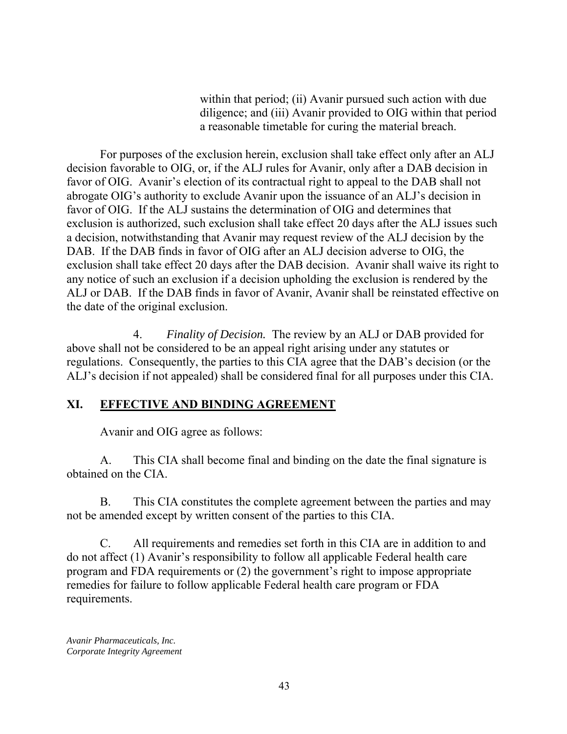within that period; (ii) Avanir pursued such action with due diligence; and (iii) Avanir provided to OIG within that period a reasonable timetable for curing the material breach.

For purposes of the exclusion herein, exclusion shall take effect only after an ALJ decision favorable to OIG, or, if the ALJ rules for Avanir, only after a DAB decision in favor of OIG. Avanir's election of its contractual right to appeal to the DAB shall not abrogate OIG's authority to exclude Avanir upon the issuance of an ALJ's decision in favor of OIG. If the ALJ sustains the determination of OIG and determines that exclusion is authorized, such exclusion shall take effect 20 days after the ALJ issues such a decision, notwithstanding that Avanir may request review of the ALJ decision by the DAB. If the DAB finds in favor of OIG after an ALJ decision adverse to OIG, the exclusion shall take effect 20 days after the DAB decision. Avanir shall waive its right to any notice of such an exclusion if a decision upholding the exclusion is rendered by the ALJ or DAB. If the DAB finds in favor of Avanir, Avanir shall be reinstated effective on the date of the original exclusion.

 ALJ's decision if not appealed) shall be considered final for all purposes under this CIA. 4. *Finality of Decision.* The review by an ALJ or DAB provided for above shall not be considered to be an appeal right arising under any statutes or regulations. Consequently, the parties to this CIA agree that the DAB's decision (or the

## **XI. EFFECTIVE AND BINDING AGREEMENT**

Avanir and OIG agree as follows:

A. This CIA shall become final and binding on the date the final signature is obtained on the CIA.

B. This CIA constitutes the complete agreement between the parties and may not be amended except by written consent of the parties to this CIA.

C. All requirements and remedies set forth in this CIA are in addition to and do not affect (1) Avanir's responsibility to follow all applicable Federal health care program and FDA requirements or (2) the government's right to impose appropriate remedies for failure to follow applicable Federal health care program or FDA requirements.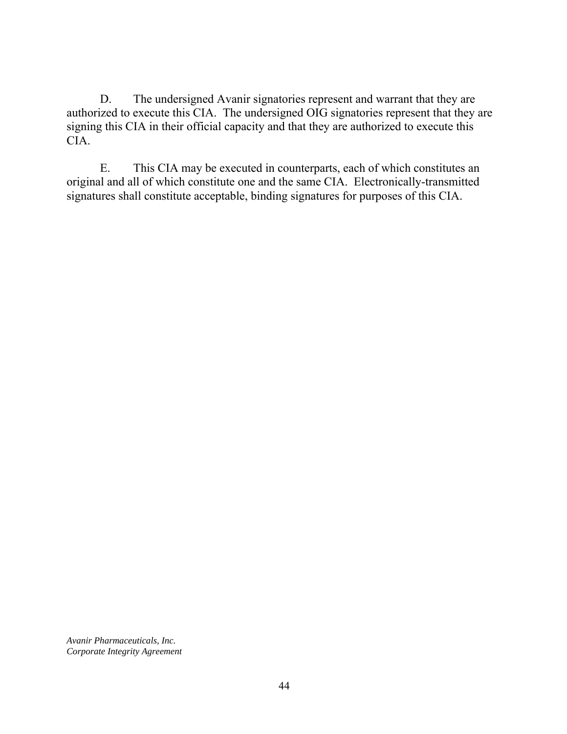D. The undersigned Avanir signatories represent and warrant that they are authorized to execute this CIA. The undersigned OIG signatories represent that they are signing this CIA in their official capacity and that they are authorized to execute this CIA.

E. This CIA may be executed in counterparts, each of which constitutes an original and all of which constitute one and the same CIA. Electronically-transmitted signatures shall constitute acceptable, binding signatures for purposes of this CIA.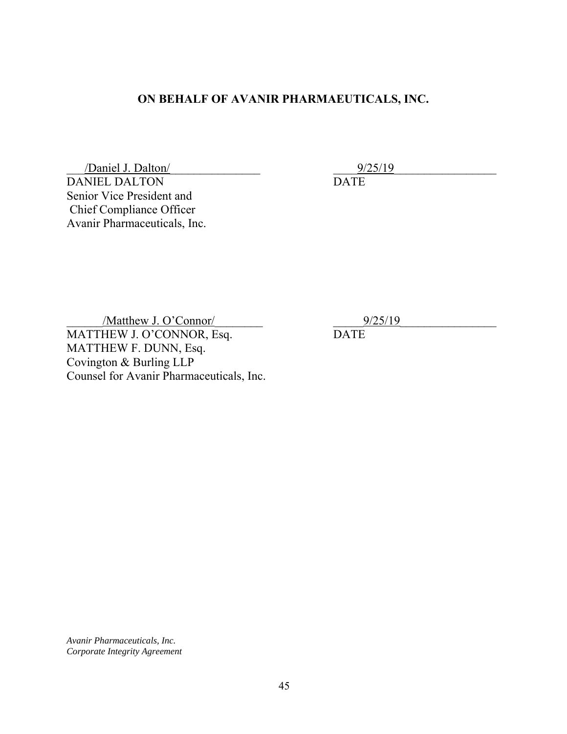## **ON BEHALF OF AVANIR PHARMAEUTICALS, INC.**

DANIEL DALTON DATE  $\frac{9}{25/19}$ Senior Vice President and Chief Compliance Officer Avanir Pharmaceuticals, Inc.

MATTHEW J. O'CONNOR, Esq. DATE MATTHEW F. DUNN, Esq. Counsel for Avanir Pharmaceuticals, Inc.  $\frac{9}{25/19}$ Covington & Burling LLP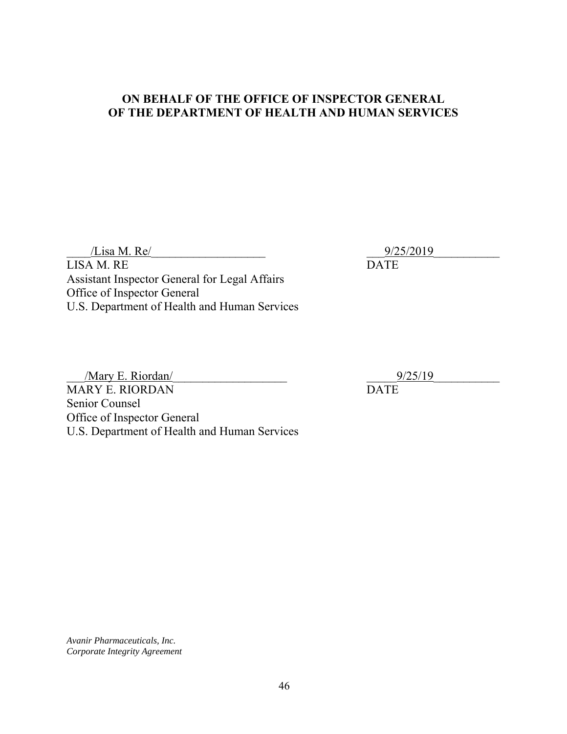#### **ON BEHALF OF THE OFFICE OF INSPECTOR GENERAL OF THE DEPARTMENT OF HEALTH AND HUMAN SERVICES**

 $\frac{9}{25/2019}$ 

LISA M. RE DATE Assistant Inspector General for Legal Affairs Office of Inspector General U.S. Department of Health and Human Services

MARY E. RIORDAN DATE  $\frac{\text{Mary E. Riordan}}{\text{BAY E. RIORDAN}}$   $\frac{9/25/19}{\text{DATE}}$ Senior Counsel Office of Inspector General U.S. Department of Health and Human Services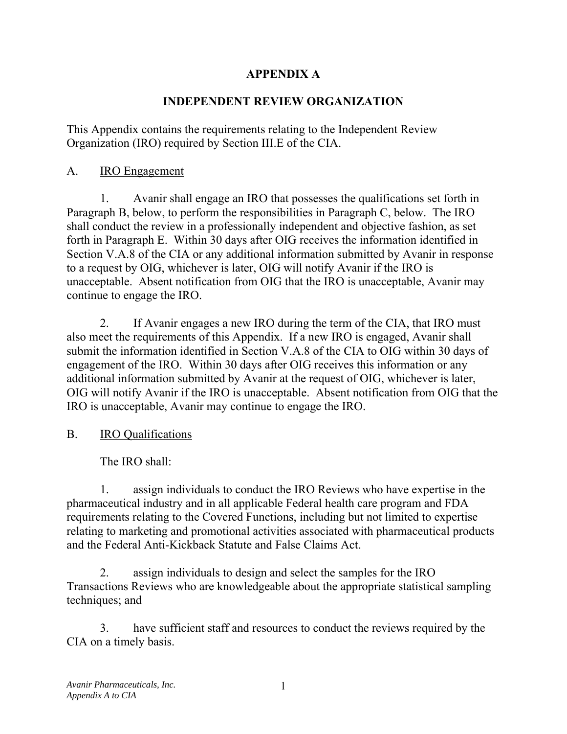## **APPENDIX A**

## **INDEPENDENT REVIEW ORGANIZATION**

This Appendix contains the requirements relating to the Independent Review Organization (IRO) required by Section III.E of the CIA.

## A. IRO Engagement

1. Avanir shall engage an IRO that possesses the qualifications set forth in Paragraph B, below, to perform the responsibilities in Paragraph C, below. The IRO shall conduct the review in a professionally independent and objective fashion, as set forth in Paragraph E. Within 30 days after OIG receives the information identified in Section V.A.8 of the CIA or any additional information submitted by Avanir in response to a request by OIG, whichever is later, OIG will notify Avanir if the IRO is unacceptable. Absent notification from OIG that the IRO is unacceptable, Avanir may continue to engage the IRO.

2. If Avanir engages a new IRO during the term of the CIA, that IRO must also meet the requirements of this Appendix. If a new IRO is engaged, Avanir shall submit the information identified in Section V.A.8 of the CIA to OIG within 30 days of engagement of the IRO. Within 30 days after OIG receives this information or any additional information submitted by Avanir at the request of OIG, whichever is later, OIG will notify Avanir if the IRO is unacceptable. Absent notification from OIG that the IRO is unacceptable, Avanir may continue to engage the IRO.

## B. IRO Qualifications

The IRO shall:

1. assign individuals to conduct the IRO Reviews who have expertise in the pharmaceutical industry and in all applicable Federal health care program and FDA requirements relating to the Covered Functions, including but not limited to expertise relating to marketing and promotional activities associated with pharmaceutical products and the Federal Anti-Kickback Statute and False Claims Act.

2. assign individuals to design and select the samples for the IRO Transactions Reviews who are knowledgeable about the appropriate statistical sampling techniques; and

3. have sufficient staff and resources to conduct the reviews required by the CIA on a timely basis.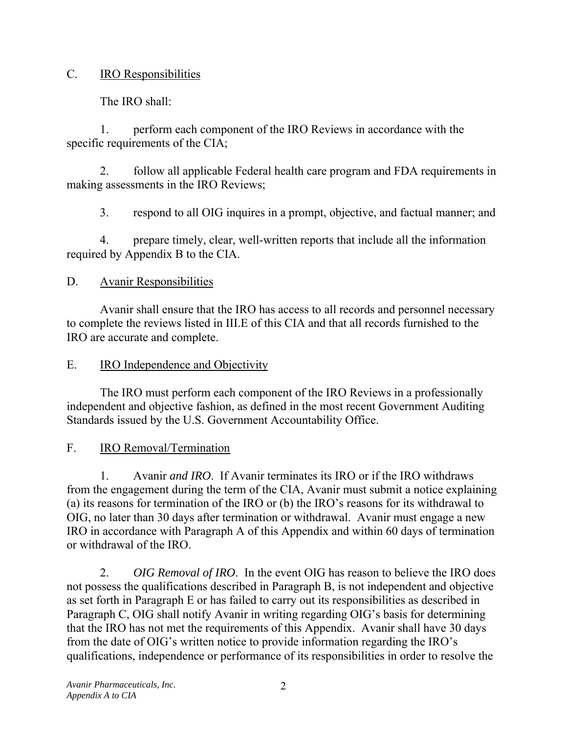## C. IRO Responsibilities

The IRO shall:

1. perform each component of the IRO Reviews in accordance with the specific requirements of the CIA;

2. follow all applicable Federal health care program and FDA requirements in making assessments in the IRO Reviews;

3. respond to all OIG inquires in a prompt, objective, and factual manner; and

4. prepare timely, clear, well-written reports that include all the information required by Appendix B to the CIA.

## D. Avanir Responsibilities

Avanir shall ensure that the IRO has access to all records and personnel necessary to complete the reviews listed in III.E of this CIA and that all records furnished to the IRO are accurate and complete.

## E. IRO Independence and Objectivity

The IRO must perform each component of the IRO Reviews in a professionally independent and objective fashion, as defined in the most recent Government Auditing Standards issued by the U.S. Government Accountability Office.

# F. IRO Removal/Termination

1. Avanir *and IRO*. If Avanir terminates its IRO or if the IRO withdraws from the engagement during the term of the CIA, Avanir must submit a notice explaining (a) its reasons for termination of the IRO or (b) the IRO's reasons for its withdrawal to OIG, no later than 30 days after termination or withdrawal. Avanir must engage a new IRO in accordance with Paragraph A of this Appendix and within 60 days of termination or withdrawal of the IRO.

2. *OIG Removal of IRO*. In the event OIG has reason to believe the IRO does not possess the qualifications described in Paragraph B, is not independent and objective as set forth in Paragraph E or has failed to carry out its responsibilities as described in Paragraph C, OIG shall notify Avanir in writing regarding OIG's basis for determining that the IRO has not met the requirements of this Appendix. Avanir shall have 30 days from the date of OIG's written notice to provide information regarding the IRO's qualifications, independence or performance of its responsibilities in order to resolve the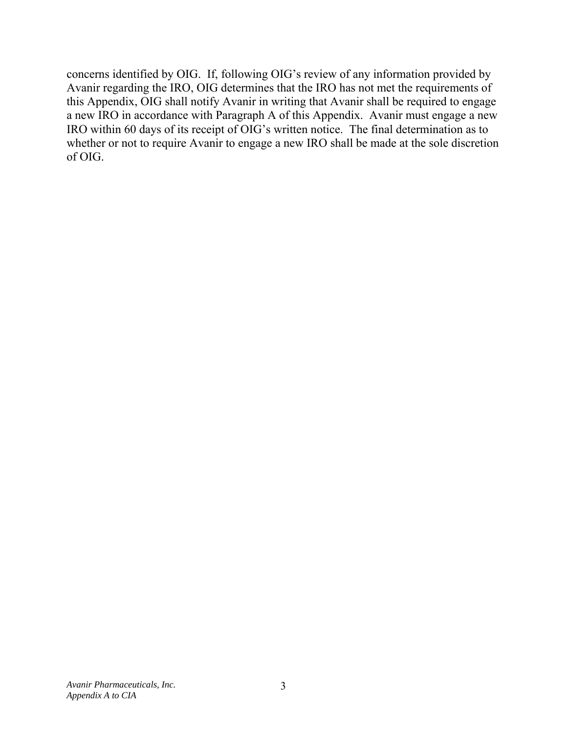concerns identified by OIG. If, following OIG's review of any information provided by Avanir regarding the IRO, OIG determines that the IRO has not met the requirements of this Appendix, OIG shall notify Avanir in writing that Avanir shall be required to engage a new IRO in accordance with Paragraph A of this Appendix. Avanir must engage a new IRO within 60 days of its receipt of OIG's written notice. The final determination as to whether or not to require Avanir to engage a new IRO shall be made at the sole discretion of OIG.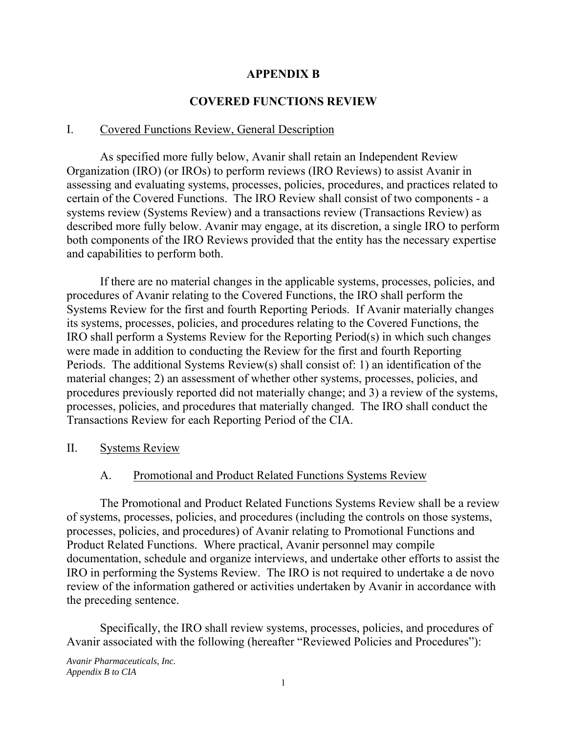### **APPENDIX B**

### **COVERED FUNCTIONS REVIEW**

#### I. Covered Functions Review, General Description

As specified more fully below, Avanir shall retain an Independent Review Organization (IRO) (or IROs) to perform reviews (IRO Reviews) to assist Avanir in assessing and evaluating systems, processes, policies, procedures, and practices related to certain of the Covered Functions. The IRO Review shall consist of two components - a systems review (Systems Review) and a transactions review (Transactions Review) as described more fully below. Avanir may engage, at its discretion, a single IRO to perform both components of the IRO Reviews provided that the entity has the necessary expertise and capabilities to perform both.

If there are no material changes in the applicable systems, processes, policies, and procedures of Avanir relating to the Covered Functions, the IRO shall perform the Systems Review for the first and fourth Reporting Periods. If Avanir materially changes its systems, processes, policies, and procedures relating to the Covered Functions, the IRO shall perform a Systems Review for the Reporting Period(s) in which such changes were made in addition to conducting the Review for the first and fourth Reporting Periods. The additional Systems Review(s) shall consist of: 1) an identification of the material changes; 2) an assessment of whether other systems, processes, policies, and procedures previously reported did not materially change; and 3) a review of the systems, processes, policies, and procedures that materially changed. The IRO shall conduct the Transactions Review for each Reporting Period of the CIA.

II. Systems Review

### A. Promotional and Product Related Functions Systems Review

The Promotional and Product Related Functions Systems Review shall be a review of systems, processes, policies, and procedures (including the controls on those systems, processes, policies, and procedures) of Avanir relating to Promotional Functions and Product Related Functions. Where practical, Avanir personnel may compile documentation, schedule and organize interviews, and undertake other efforts to assist the IRO in performing the Systems Review. The IRO is not required to undertake a de novo review of the information gathered or activities undertaken by Avanir in accordance with the preceding sentence.

Specifically, the IRO shall review systems, processes, policies, and procedures of Avanir associated with the following (hereafter "Reviewed Policies and Procedures"):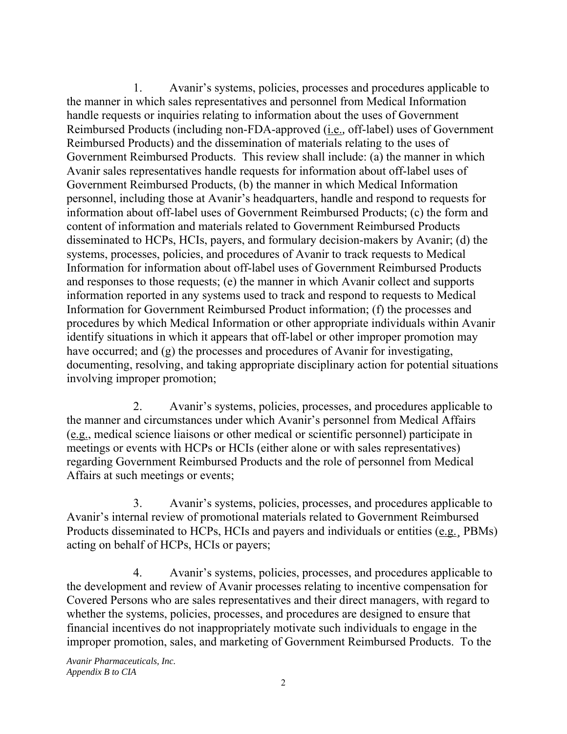1. Avanir's systems, policies, processes and procedures applicable to the manner in which sales representatives and personnel from Medical Information handle requests or inquiries relating to information about the uses of Government Reimbursed Products (including non-FDA-approved (i.e.*,* off-label) uses of Government Reimbursed Products) and the dissemination of materials relating to the uses of Government Reimbursed Products. This review shall include: (a) the manner in which Avanir sales representatives handle requests for information about off-label uses of Government Reimbursed Products, (b) the manner in which Medical Information personnel, including those at Avanir's headquarters, handle and respond to requests for information about off-label uses of Government Reimbursed Products; (c) the form and content of information and materials related to Government Reimbursed Products disseminated to HCPs, HCIs, payers, and formulary decision-makers by Avanir; (d) the systems, processes, policies, and procedures of Avanir to track requests to Medical Information for information about off-label uses of Government Reimbursed Products and responses to those requests; (e) the manner in which Avanir collect and supports information reported in any systems used to track and respond to requests to Medical Information for Government Reimbursed Product information; (f) the processes and procedures by which Medical Information or other appropriate individuals within Avanir identify situations in which it appears that off-label or other improper promotion may have occurred; and (g) the processes and procedures of Avanir for investigating, documenting, resolving, and taking appropriate disciplinary action for potential situations involving improper promotion;

2. Avanir's systems, policies, processes, and procedures applicable to the manner and circumstances under which Avanir's personnel from Medical Affairs (e.g., medical science liaisons or other medical or scientific personnel) participate in meetings or events with HCPs or HCIs (either alone or with sales representatives) regarding Government Reimbursed Products and the role of personnel from Medical Affairs at such meetings or events;

3. Avanir's systems, policies, processes, and procedures applicable to Avanir's internal review of promotional materials related to Government Reimbursed Products disseminated to HCPs, HCIs and payers and individuals or entities (e.g.*¸* PBMs) acting on behalf of HCPs, HCIs or payers;

4. Avanir's systems, policies, processes, and procedures applicable to the development and review of Avanir processes relating to incentive compensation for Covered Persons who are sales representatives and their direct managers, with regard to whether the systems, policies, processes, and procedures are designed to ensure that financial incentives do not inappropriately motivate such individuals to engage in the improper promotion, sales, and marketing of Government Reimbursed Products. To the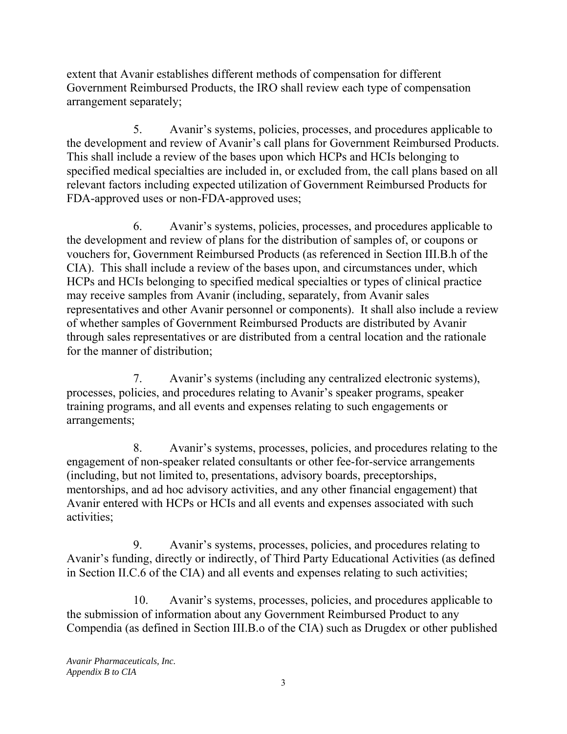arrangement separately; extent that Avanir establishes different methods of compensation for different Government Reimbursed Products, the IRO shall review each type of compensation

5. Avanir's systems, policies, processes, and procedures applicable to the development and review of Avanir's call plans for Government Reimbursed Products. This shall include a review of the bases upon which HCPs and HCIs belonging to specified medical specialties are included in, or excluded from, the call plans based on all relevant factors including expected utilization of Government Reimbursed Products for FDA-approved uses or non-FDA-approved uses;

6. Avanir's systems, policies, processes, and procedures applicable to the development and review of plans for the distribution of samples of, or coupons or vouchers for, Government Reimbursed Products (as referenced in Section III.B.h of the CIA). This shall include a review of the bases upon, and circumstances under, which HCPs and HCIs belonging to specified medical specialties or types of clinical practice may receive samples from Avanir (including, separately, from Avanir sales representatives and other Avanir personnel or components). It shall also include a review of whether samples of Government Reimbursed Products are distributed by Avanir through sales representatives or are distributed from a central location and the rationale for the manner of distribution;

7. Avanir's systems (including any centralized electronic systems), processes, policies, and procedures relating to Avanir's speaker programs, speaker training programs, and all events and expenses relating to such engagements or arrangements;

8. Avanir's systems, processes, policies, and procedures relating to the engagement of non-speaker related consultants or other fee-for-service arrangements (including, but not limited to, presentations, advisory boards, preceptorships, mentorships, and ad hoc advisory activities, and any other financial engagement) that Avanir entered with HCPs or HCIs and all events and expenses associated with such activities;

9. Avanir's systems, processes, policies, and procedures relating to Avanir's funding, directly or indirectly, of Third Party Educational Activities (as defined in Section II.C.6 of the CIA) and all events and expenses relating to such activities;

10. Avanir's systems, processes, policies, and procedures applicable to the submission of information about any Government Reimbursed Product to any Compendia (as defined in Section III.B.o of the CIA) such as Drugdex or other published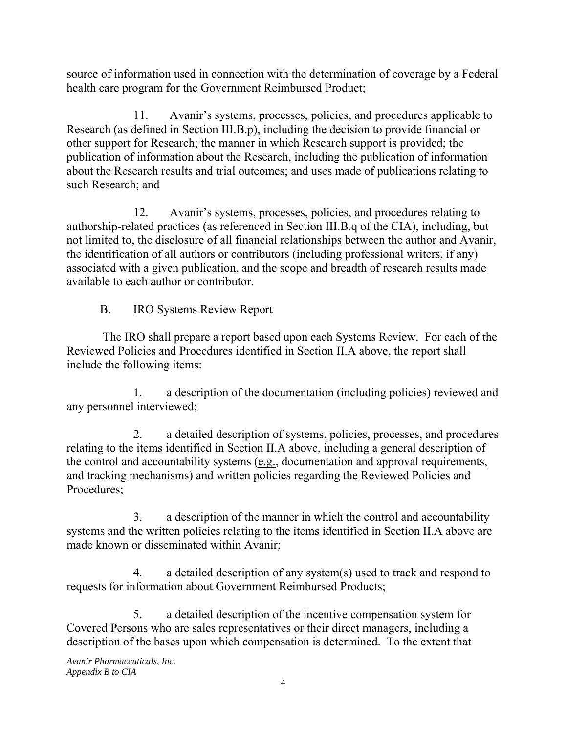source of information used in connection with the determination of coverage by a Federal health care program for the Government Reimbursed Product;

11. Avanir's systems, processes, policies, and procedures applicable to Research (as defined in Section III.B.p), including the decision to provide financial or other support for Research; the manner in which Research support is provided; the publication of information about the Research, including the publication of information about the Research results and trial outcomes; and uses made of publications relating to such Research; and

12. Avanir's systems, processes, policies, and procedures relating to authorship-related practices (as referenced in Section III.B.q of the CIA), including, but not limited to, the disclosure of all financial relationships between the author and Avanir, the identification of all authors or contributors (including professional writers, if any) associated with a given publication, and the scope and breadth of research results made available to each author or contributor.

# B. IRO Systems Review Report

 The IRO shall prepare a report based upon each Systems Review. For each of the Reviewed Policies and Procedures identified in Section II.A above, the report shall include the following items:

1. a description of the documentation (including policies) reviewed and any personnel interviewed;

2. a detailed description of systems, policies, processes, and procedures relating to the items identified in Section II.A above, including a general description of the control and accountability systems (e.g., documentation and approval requirements, and tracking mechanisms) and written policies regarding the Reviewed Policies and Procedures;

3. a description of the manner in which the control and accountability systems and the written policies relating to the items identified in Section II.A above are made known or disseminated within Avanir;

4. a detailed description of any system(s) used to track and respond to requests for information about Government Reimbursed Products;

5. a detailed description of the incentive compensation system for Covered Persons who are sales representatives or their direct managers, including a description of the bases upon which compensation is determined. To the extent that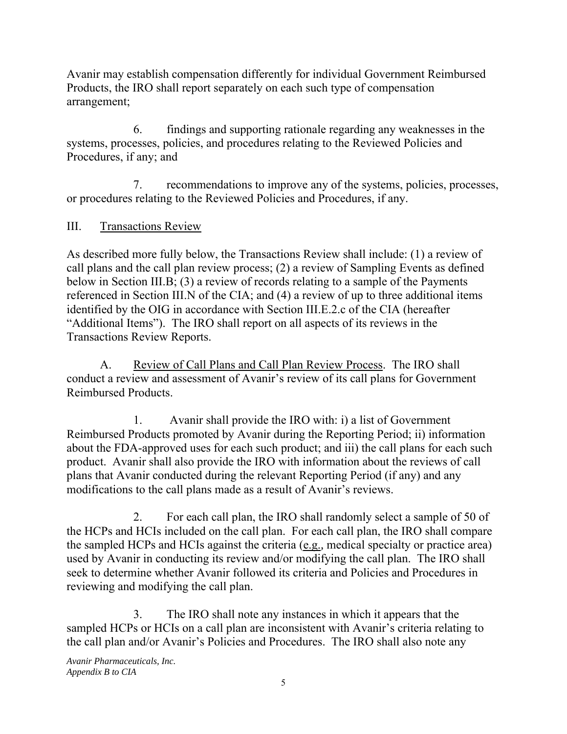Avanir may establish compensation differently for individual Government Reimbursed Products, the IRO shall report separately on each such type of compensation arrangement;

6. findings and supporting rationale regarding any weaknesses in the systems, processes, policies, and procedures relating to the Reviewed Policies and Procedures, if any; and

7. recommendations to improve any of the systems, policies, processes, or procedures relating to the Reviewed Policies and Procedures, if any.

## III. Transactions Review

As described more fully below, the Transactions Review shall include: (1) a review of call plans and the call plan review process; (2) a review of Sampling Events as defined below in Section III.B; (3) a review of records relating to a sample of the Payments referenced in Section III.N of the CIA; and (4) a review of up to three additional items identified by the OIG in accordance with Section III.E.2.c of the CIA (hereafter "Additional Items"). The IRO shall report on all aspects of its reviews in the Transactions Review Reports.

A. Review of Call Plans and Call Plan Review Process. The IRO shall conduct a review and assessment of Avanir's review of its call plans for Government Reimbursed Products.

1. Avanir shall provide the IRO with: i) a list of Government Reimbursed Products promoted by Avanir during the Reporting Period; ii) information about the FDA-approved uses for each such product; and iii) the call plans for each such product. Avanir shall also provide the IRO with information about the reviews of call plans that Avanir conducted during the relevant Reporting Period (if any) and any modifications to the call plans made as a result of Avanir's reviews.

2. For each call plan, the IRO shall randomly select a sample of 50 of the HCPs and HCIs included on the call plan. For each call plan, the IRO shall compare the sampled HCPs and HCIs against the criteria (e.g.*,* medical specialty or practice area) used by Avanir in conducting its review and/or modifying the call plan. The IRO shall seek to determine whether Avanir followed its criteria and Policies and Procedures in reviewing and modifying the call plan.

3. The IRO shall note any instances in which it appears that the sampled HCPs or HCIs on a call plan are inconsistent with Avanir's criteria relating to the call plan and/or Avanir's Policies and Procedures. The IRO shall also note any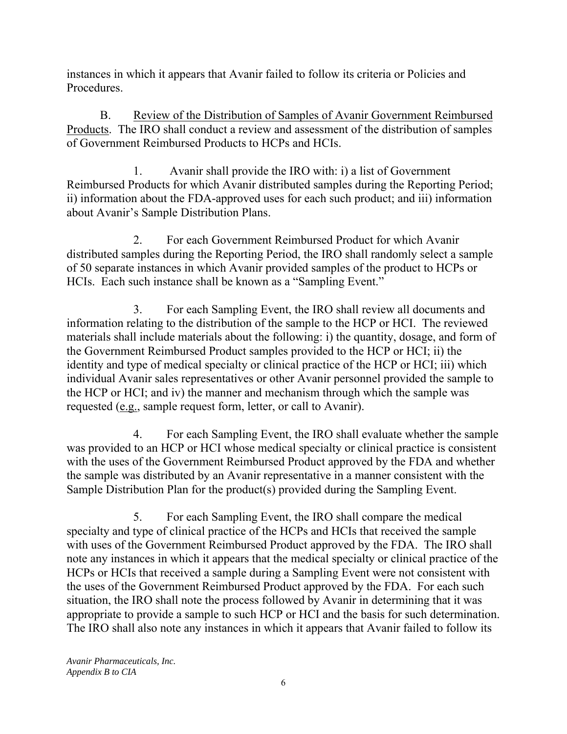instances in which it appears that Avanir failed to follow its criteria or Policies and Procedures.

B. Review of the Distribution of Samples of Avanir Government Reimbursed Products. The IRO shall conduct a review and assessment of the distribution of samples of Government Reimbursed Products to HCPs and HCIs.

1. Avanir shall provide the IRO with: i) a list of Government Reimbursed Products for which Avanir distributed samples during the Reporting Period; ii) information about the FDA-approved uses for each such product; and iii) information about Avanir's Sample Distribution Plans.

 HCIs. Each such instance shall be known as a "Sampling Event." 2. For each Government Reimbursed Product for which Avanir distributed samples during the Reporting Period, the IRO shall randomly select a sample of 50 separate instances in which Avanir provided samples of the product to HCPs or

3. For each Sampling Event, the IRO shall review all documents and information relating to the distribution of the sample to the HCP or HCI. The reviewed materials shall include materials about the following: i) the quantity, dosage, and form of the Government Reimbursed Product samples provided to the HCP or HCI; ii) the identity and type of medical specialty or clinical practice of the HCP or HCI; iii) which individual Avanir sales representatives or other Avanir personnel provided the sample to the HCP or HCI; and iv) the manner and mechanism through which the sample was requested (e.g., sample request form, letter, or call to Avanir).

4. For each Sampling Event, the IRO shall evaluate whether the sample was provided to an HCP or HCI whose medical specialty or clinical practice is consistent with the uses of the Government Reimbursed Product approved by the FDA and whether the sample was distributed by an Avanir representative in a manner consistent with the Sample Distribution Plan for the product(s) provided during the Sampling Event.

5. For each Sampling Event, the IRO shall compare the medical specialty and type of clinical practice of the HCPs and HCIs that received the sample with uses of the Government Reimbursed Product approved by the FDA. The IRO shall note any instances in which it appears that the medical specialty or clinical practice of the HCPs or HCIs that received a sample during a Sampling Event were not consistent with the uses of the Government Reimbursed Product approved by the FDA. For each such situation, the IRO shall note the process followed by Avanir in determining that it was appropriate to provide a sample to such HCP or HCI and the basis for such determination. The IRO shall also note any instances in which it appears that Avanir failed to follow its

 *Appendix B to CIA Avanir Pharmaceuticals, Inc.*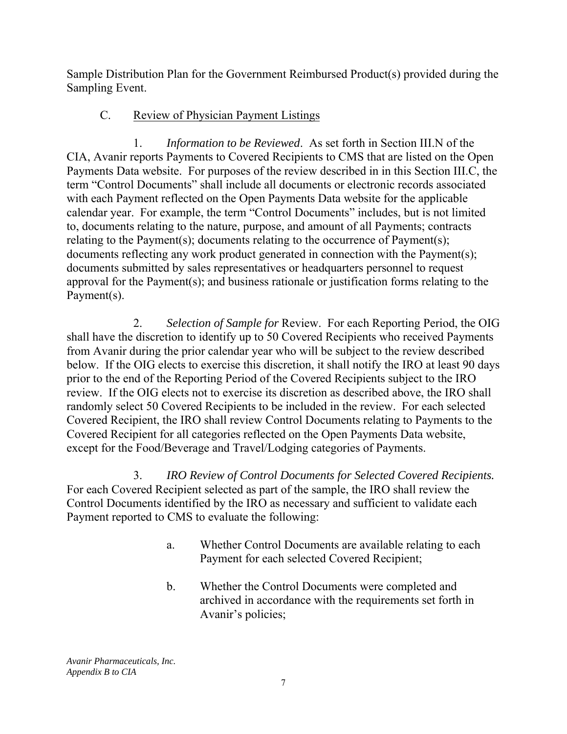Sample Distribution Plan for the Government Reimbursed Product(s) provided during the Sampling Event.

# C. Review of Physician Payment Listings

 1. *Information to be Reviewed*. As set forth in Section III.N of the CIA, Avanir reports Payments to Covered Recipients to CMS that are listed on the Open Payments Data website. For purposes of the review described in in this Section III.C, the term "Control Documents" shall include all documents or electronic records associated with each Payment reflected on the Open Payments Data website for the applicable calendar year. For example, the term "Control Documents" includes, but is not limited to, documents relating to the nature, purpose, and amount of all Payments; contracts relating to the Payment(s); documents relating to the occurrence of Payment(s); documents reflecting any work product generated in connection with the Payment(s); documents submitted by sales representatives or headquarters personnel to request approval for the Payment(s); and business rationale or justification forms relating to the Payment(s).

 2. *Selection of Sample for* Review. For each Reporting Period, the OIG shall have the discretion to identify up to 50 Covered Recipients who received Payments from Avanir during the prior calendar year who will be subject to the review described below. If the OIG elects to exercise this discretion, it shall notify the IRO at least 90 days prior to the end of the Reporting Period of the Covered Recipients subject to the IRO review. If the OIG elects not to exercise its discretion as described above, the IRO shall randomly select 50 Covered Recipients to be included in the review. For each selected Covered Recipient, the IRO shall review Control Documents relating to Payments to the Covered Recipient for all categories reflected on the Open Payments Data website, except for the Food/Beverage and Travel/Lodging categories of Payments.

3. *IRO Review of Control Documents for Selected Covered Recipients.*  For each Covered Recipient selected as part of the sample, the IRO shall review the Control Documents identified by the IRO as necessary and sufficient to validate each Payment reported to CMS to evaluate the following:

- a. Whether Control Documents are available relating to each Payment for each selected Covered Recipient;
- b. Whether the Control Documents were completed and archived in accordance with the requirements set forth in Avanir's policies;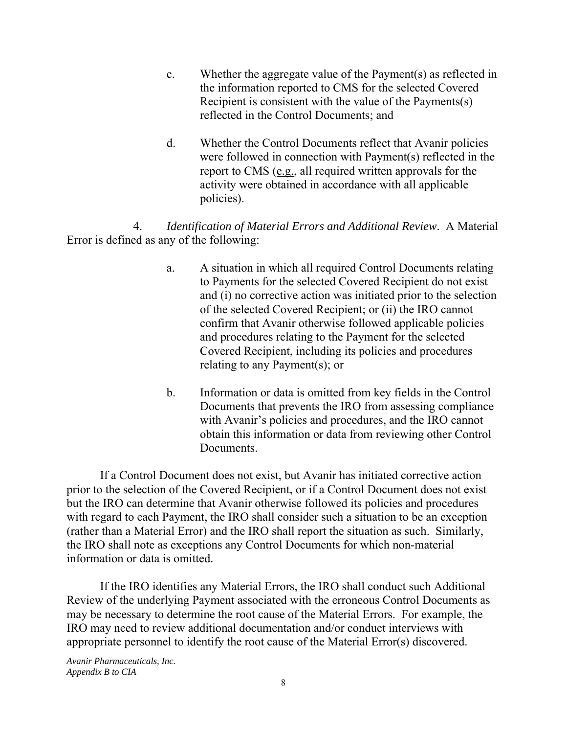- c. Whether the aggregate value of the Payment(s) as reflected in the information reported to CMS for the selected Covered Recipient is consistent with the value of the Payments(s) reflected in the Control Documents; and
- d. Whether the Control Documents reflect that Avanir policies were followed in connection with Payment(s) reflected in the report to CMS (e.g., all required written approvals for the activity were obtained in accordance with all applicable policies).

4. *Identification of Material Errors and Additional Review*. A Material Error is defined as any of the following:

- a. A situation in which all required Control Documents relating to Payments for the selected Covered Recipient do not exist and (i) no corrective action was initiated prior to the selection of the selected Covered Recipient; or (ii) the IRO cannot confirm that Avanir otherwise followed applicable policies and procedures relating to the Payment for the selected Covered Recipient, including its policies and procedures relating to any Payment(s); or
- b. Information or data is omitted from key fields in the Control Documents that prevents the IRO from assessing compliance with Avanir's policies and procedures, and the IRO cannot obtain this information or data from reviewing other Control Documents.

If a Control Document does not exist, but Avanir has initiated corrective action prior to the selection of the Covered Recipient, or if a Control Document does not exist but the IRO can determine that Avanir otherwise followed its policies and procedures with regard to each Payment, the IRO shall consider such a situation to be an exception (rather than a Material Error) and the IRO shall report the situation as such. Similarly, the IRO shall note as exceptions any Control Documents for which non-material information or data is omitted.

If the IRO identifies any Material Errors, the IRO shall conduct such Additional Review of the underlying Payment associated with the erroneous Control Documents as may be necessary to determine the root cause of the Material Errors. For example, the IRO may need to review additional documentation and/or conduct interviews with appropriate personnel to identify the root cause of the Material Error(s) discovered.

 *Appendix B to CIA Avanir Pharmaceuticals, Inc.*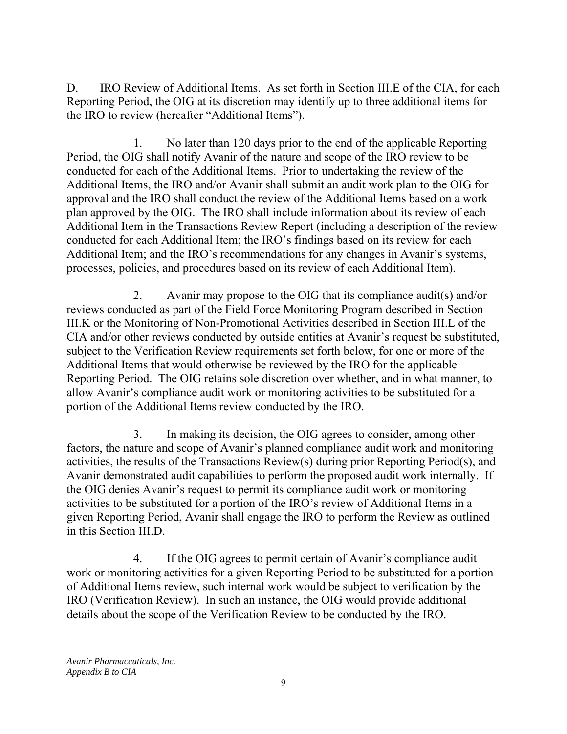D. IRO Review of Additional Items. As set forth in Section III.E of the CIA, for each Reporting Period, the OIG at its discretion may identify up to three additional items for the IRO to review (hereafter "Additional Items").

1. No later than 120 days prior to the end of the applicable Reporting Period, the OIG shall notify Avanir of the nature and scope of the IRO review to be conducted for each of the Additional Items. Prior to undertaking the review of the Additional Items, the IRO and/or Avanir shall submit an audit work plan to the OIG for approval and the IRO shall conduct the review of the Additional Items based on a work plan approved by the OIG. The IRO shall include information about its review of each Additional Item in the Transactions Review Report (including a description of the review conducted for each Additional Item; the IRO's findings based on its review for each Additional Item; and the IRO's recommendations for any changes in Avanir's systems, processes, policies, and procedures based on its review of each Additional Item).

2. Avanir may propose to the OIG that its compliance audit(s) and/or reviews conducted as part of the Field Force Monitoring Program described in Section III.K or the Monitoring of Non-Promotional Activities described in Section III.L of the CIA and/or other reviews conducted by outside entities at Avanir's request be substituted, subject to the Verification Review requirements set forth below, for one or more of the Additional Items that would otherwise be reviewed by the IRO for the applicable Reporting Period. The OIG retains sole discretion over whether, and in what manner, to allow Avanir's compliance audit work or monitoring activities to be substituted for a portion of the Additional Items review conducted by the IRO.

3. In making its decision, the OIG agrees to consider, among other factors, the nature and scope of Avanir's planned compliance audit work and monitoring activities, the results of the Transactions Review(s) during prior Reporting Period(s), and Avanir demonstrated audit capabilities to perform the proposed audit work internally. If the OIG denies Avanir's request to permit its compliance audit work or monitoring activities to be substituted for a portion of the IRO's review of Additional Items in a given Reporting Period, Avanir shall engage the IRO to perform the Review as outlined in this Section III.D.

4. If the OIG agrees to permit certain of Avanir's compliance audit work or monitoring activities for a given Reporting Period to be substituted for a portion of Additional Items review, such internal work would be subject to verification by the IRO (Verification Review). In such an instance, the OIG would provide additional details about the scope of the Verification Review to be conducted by the IRO.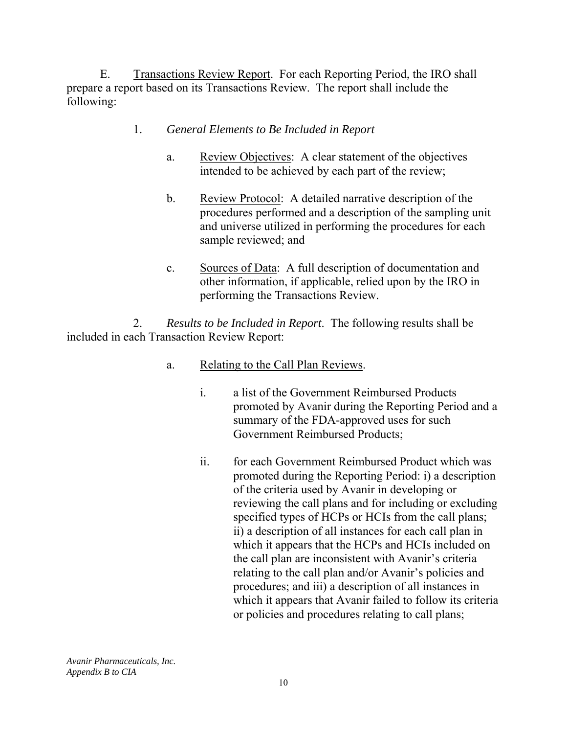E. Transactions Review Report. For each Reporting Period, the IRO shall prepare a report based on its Transactions Review. The report shall include the following:

## 1. *General Elements to Be Included in Report*

- a. Review Objectives: A clear statement of the objectives intended to be achieved by each part of the review;
- b. Review Protocol: A detailed narrative description of the procedures performed and a description of the sampling unit and universe utilized in performing the procedures for each sample reviewed; and
- c. Sources of Data: A full description of documentation and other information, if applicable, relied upon by the IRO in performing the Transactions Review.

2. *Results to be Included in Report*. The following results shall be included in each Transaction Review Report:

- a. Relating to the Call Plan Reviews.
	- i. a list of the Government Reimbursed Products promoted by Avanir during the Reporting Period and a summary of the FDA-approved uses for such Government Reimbursed Products;
	- ii. for each Government Reimbursed Product which was promoted during the Reporting Period: i) a description of the criteria used by Avanir in developing or reviewing the call plans and for including or excluding specified types of HCPs or HCIs from the call plans; ii) a description of all instances for each call plan in which it appears that the HCPs and HCIs included on the call plan are inconsistent with Avanir's criteria relating to the call plan and/or Avanir's policies and procedures; and iii) a description of all instances in which it appears that Avanir failed to follow its criteria or policies and procedures relating to call plans;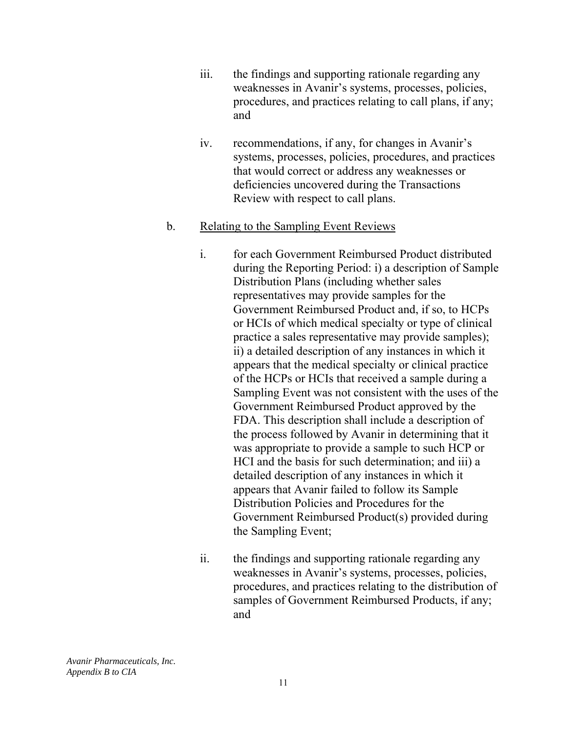- iii. the findings and supporting rationale regarding any weaknesses in Avanir's systems, processes, policies, procedures, and practices relating to call plans, if any; and
- iv. recommendations, if any, for changes in Avanir's systems, processes, policies, procedures, and practices that would correct or address any weaknesses or deficiencies uncovered during the Transactions Review with respect to call plans.

#### b. Relating to the Sampling Event Reviews

- i. for each Government Reimbursed Product distributed during the Reporting Period: i) a description of Sample Distribution Plans (including whether sales representatives may provide samples for the Government Reimbursed Product and, if so, to HCPs or HCIs of which medical specialty or type of clinical practice a sales representative may provide samples); ii) a detailed description of any instances in which it appears that the medical specialty or clinical practice of the HCPs or HCIs that received a sample during a Sampling Event was not consistent with the uses of the Government Reimbursed Product approved by the FDA. This description shall include a description of the process followed by Avanir in determining that it was appropriate to provide a sample to such HCP or HCI and the basis for such determination; and iii) a detailed description of any instances in which it appears that Avanir failed to follow its Sample Distribution Policies and Procedures for the Government Reimbursed Product(s) provided during the Sampling Event;
- ii. the findings and supporting rationale regarding any weaknesses in Avanir's systems, processes, policies, procedures, and practices relating to the distribution of samples of Government Reimbursed Products, if any; and

 *Appendix B to CIA Avanir Pharmaceuticals, Inc.*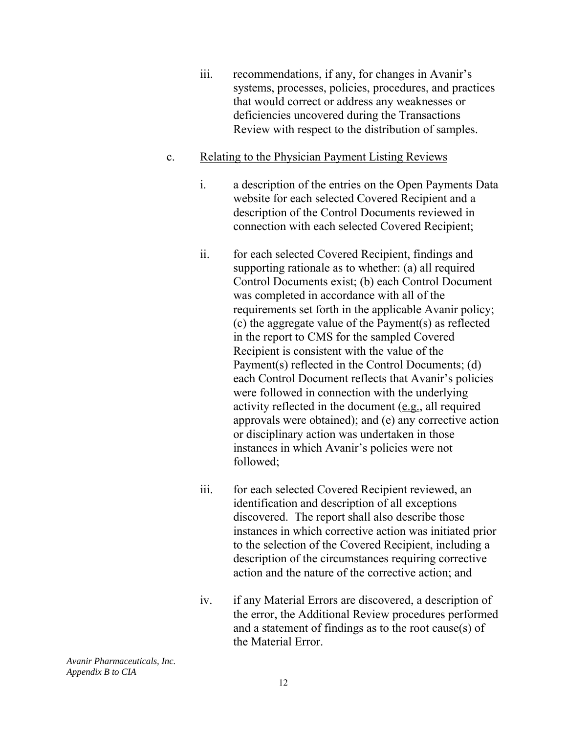iii. recommendations, if any, for changes in Avanir's systems, processes, policies, procedures, and practices that would correct or address any weaknesses or deficiencies uncovered during the Transactions Review with respect to the distribution of samples.

#### c. Relating to the Physician Payment Listing Reviews

- i. a description of the entries on the Open Payments Data website for each selected Covered Recipient and a description of the Control Documents reviewed in connection with each selected Covered Recipient;
- ii. for each selected Covered Recipient, findings and supporting rationale as to whether: (a) all required Control Documents exist; (b) each Control Document was completed in accordance with all of the requirements set forth in the applicable Avanir policy; (c) the aggregate value of the Payment(s) as reflected in the report to CMS for the sampled Covered Recipient is consistent with the value of the Payment(s) reflected in the Control Documents; (d) each Control Document reflects that Avanir's policies were followed in connection with the underlying activity reflected in the document (e.g., all required approvals were obtained); and (e) any corrective action or disciplinary action was undertaken in those instances in which Avanir's policies were not followed;
- iii. for each selected Covered Recipient reviewed, an identification and description of all exceptions discovered. The report shall also describe those instances in which corrective action was initiated prior to the selection of the Covered Recipient, including a description of the circumstances requiring corrective action and the nature of the corrective action; and
- iv. if any Material Errors are discovered, a description of the error, the Additional Review procedures performed and a statement of findings as to the root cause(s) of the Material Error.

 *Appendix B to CIA Avanir Pharmaceuticals, Inc.*